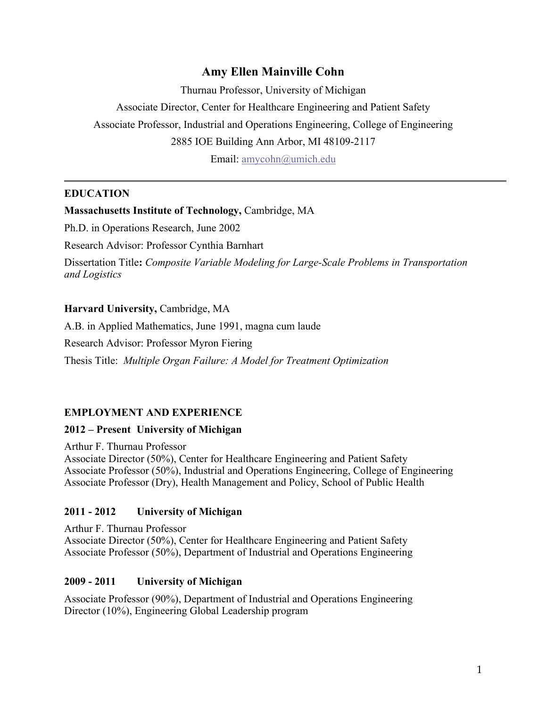# **Amy Ellen Mainville Cohn**

Thurnau Professor, University of Michigan Associate Director, Center for Healthcare Engineering and Patient Safety Associate Professor, Industrial and Operations Engineering, College of Engineering 2885 IOE Building Ann Arbor, MI 48109-2117 Email: amycohn@umich.edu

## **EDUCATION**

### **Massachusetts Institute of Technology,** Cambridge, MA

Ph.D. in Operations Research, June 2002

Research Advisor: Professor Cynthia Barnhart

Dissertation Title**:** *Composite Variable Modeling for Large-Scale Problems in Transportation and Logistics*

## **Harvard University,** Cambridge, MA

A.B. in Applied Mathematics, June 1991, magna cum laude

Research Advisor: Professor Myron Fiering

Thesis Title: *Multiple Organ Failure: A Model for Treatment Optimization*

### **EMPLOYMENT AND EXPERIENCE**

### **2012 – Present University of Michigan**

Arthur F. Thurnau Professor Associate Director (50%), Center for Healthcare Engineering and Patient Safety Associate Professor (50%), Industrial and Operations Engineering, College of Engineering Associate Professor (Dry), Health Management and Policy, School of Public Health

### **2011 - 2012 University of Michigan**

Arthur F. Thurnau Professor Associate Director (50%), Center for Healthcare Engineering and Patient Safety Associate Professor (50%), Department of Industrial and Operations Engineering

### **2009 - 2011 University of Michigan**

Associate Professor (90%), Department of Industrial and Operations Engineering Director (10%), Engineering Global Leadership program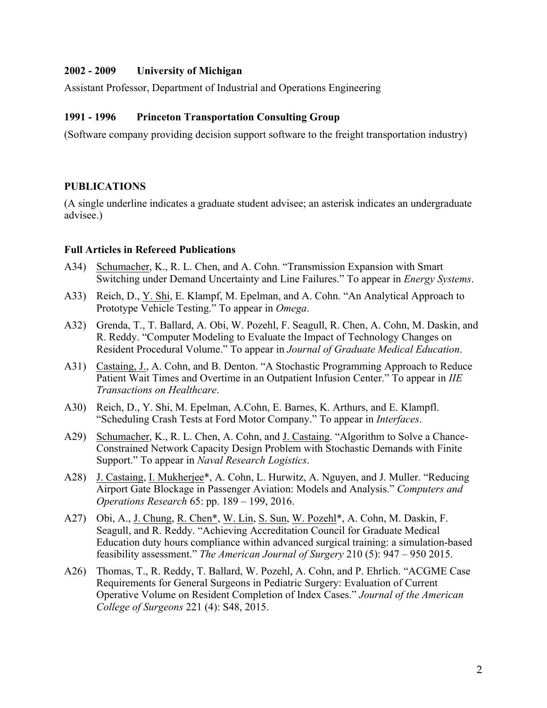### **2002 - 2009 University of Michigan**

Assistant Professor, Department of Industrial and Operations Engineering

### **1991 - 1996 Princeton Transportation Consulting Group**

(Software company providing decision support software to the freight transportation industry)

## **PUBLICATIONS**

(A single underline indicates a graduate student advisee; an asterisk indicates an undergraduate advisee.)

### **Full Articles in Refereed Publications**

- A34) Schumacher, K., R. L. Chen, and A. Cohn. "Transmission Expansion with Smart Switching under Demand Uncertainty and Line Failures." To appear in *Energy Systems*.
- A33) Reich, D., Y. Shi, E. Klampf, M. Epelman, and A. Cohn. "An Analytical Approach to Prototype Vehicle Testing." To appear in *Omega*.
- A32) Grenda, T., T. Ballard, A. Obi, W. Pozehl, F. Seagull, R. Chen, A. Cohn, M. Daskin, and R. Reddy. "Computer Modeling to Evaluate the Impact of Technology Changes on Resident Procedural Volume." To appear in *Journal of Graduate Medical Education*.
- A31) Castaing, J., A. Cohn, and B. Denton. "A Stochastic Programming Approach to Reduce Patient Wait Times and Overtime in an Outpatient Infusion Center." To appear in *IIE Transactions on Healthcare*.
- A30) Reich, D., Y. Shi, M. Epelman, A.Cohn, E. Barnes, K. Arthurs, and E. Klampfl. "Scheduling Crash Tests at Ford Motor Company." To appear in *Interfaces*.
- A29) Schumacher, K., R. L. Chen, A. Cohn, and J. Castaing. "Algorithm to Solve a Chance-Constrained Network Capacity Design Problem with Stochastic Demands with Finite Support." To appear in *Naval Research Logistics*.
- A28) J. Castaing, I. Mukherjee\*, A. Cohn, L. Hurwitz, A. Nguyen, and J. Muller. "Reducing Airport Gate Blockage in Passenger Aviation: Models and Analysis." *Computers and Operations Research* 65: pp. 189 – 199, 2016.
- A27) Obi, A., J. Chung, R. Chen\*, W. Lin, S. Sun, W. Pozehl\*, A. Cohn, M. Daskin, F. Seagull, and R. Reddy. "Achieving Accreditation Council for Graduate Medical Education duty hours compliance within advanced surgical training: a simulation-based feasibility assessment." *The American Journal of Surgery* 210 (5): 947 – 950 2015.
- A26) Thomas, T., R. Reddy, T. Ballard, W. Pozehl, A. Cohn, and P. Ehrlich. "ACGME Case Requirements for General Surgeons in Pediatric Surgery: Evaluation of Current Operative Volume on Resident Completion of Index Cases." *Journal of the American College of Surgeons* 221 (4): S48, 2015.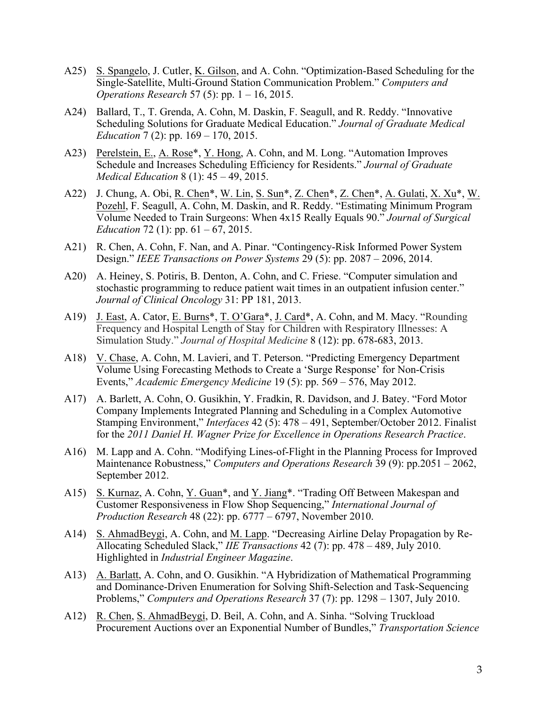- A25) S. Spangelo, J. Cutler, K. Gilson, and A. Cohn. "Optimization-Based Scheduling for the Single-Satellite, Multi-Ground Station Communication Problem." *Computers and Operations Research* 57 (5): pp. 1 – 16, 2015.
- A24) Ballard, T., T. Grenda, A. Cohn, M. Daskin, F. Seagull, and R. Reddy. "Innovative Scheduling Solutions for Graduate Medical Education." *Journal of Graduate Medical Education* 7 (2): pp. 169 – 170, 2015.
- A23) Perelstein, E., A. Rose\*, Y. Hong, A. Cohn, and M. Long. "Automation Improves Schedule and Increases Scheduling Efficiency for Residents." *Journal of Graduate Medical Education* 8 (1): 45 – 49, 2015.
- A22) J. Chung, A. Obi, R. Chen\*, W. Lin, S. Sun\*, Z. Chen\*, Z. Chen\*, A. Gulati, X. Xu\*, W. Pozehl, F. Seagull, A. Cohn, M. Daskin, and R. Reddy. "Estimating Minimum Program Volume Needed to Train Surgeons: When 4x15 Really Equals 90." *Journal of Surgical Education* 72 (1): pp. 61 – 67, 2015.
- A21) R. Chen, A. Cohn, F. Nan, and A. Pinar. "Contingency-Risk Informed Power System Design." *IEEE Transactions on Power Systems* 29 (5): pp. 2087 – 2096, 2014.
- A20) A. Heiney, S. Potiris, B. Denton, A. Cohn, and C. Friese. "Computer simulation and stochastic programming to reduce patient wait times in an outpatient infusion center." *Journal of Clinical Oncology* 31: PP 181, 2013.
- A19) J. East, A. Cator, E. Burns\*, T. O'Gara\*, J. Card\*, A. Cohn, and M. Macy. "Rounding Frequency and Hospital Length of Stay for Children with Respiratory Illnesses: A Simulation Study." *Journal of Hospital Medicine* 8 (12): pp. 678-683, 2013.
- A18) V. Chase, A. Cohn, M. Lavieri, and T. Peterson. "Predicting Emergency Department Volume Using Forecasting Methods to Create a 'Surge Response' for Non-Crisis Events," *Academic Emergency Medicine* 19 (5): pp. 569 – 576, May 2012.
- A17) A. Barlett, A. Cohn, O. Gusikhin, Y. Fradkin, R. Davidson, and J. Batey. "Ford Motor Company Implements Integrated Planning and Scheduling in a Complex Automotive Stamping Environment," *Interfaces* 42 (5): 478 – 491, September/October 2012. Finalist for the *2011 Daniel H. Wagner Prize for Excellence in Operations Research Practice*.
- A16) M. Lapp and A. Cohn. "Modifying Lines-of-Flight in the Planning Process for Improved Maintenance Robustness," *Computers and Operations Research* 39 (9): pp.2051 – 2062, September 2012.
- A15) S. Kurnaz, A. Cohn, Y. Guan\*, and Y. Jiang\*. "Trading Off Between Makespan and Customer Responsiveness in Flow Shop Sequencing," *International Journal of Production Research* 48 (22): pp. 6777 – 6797, November 2010.
- A14) S. AhmadBeygi, A. Cohn, and M. Lapp. "Decreasing Airline Delay Propagation by Re-Allocating Scheduled Slack," *IIE Transactions* 42 (7): pp. 478 – 489, July 2010. Highlighted in *Industrial Engineer Magazine*.
- A13) A. Barlatt, A. Cohn, and O. Gusikhin. "A Hybridization of Mathematical Programming and Dominance-Driven Enumeration for Solving Shift-Selection and Task-Sequencing Problems," *Computers and Operations Research* 37 (7): pp. 1298 – 1307, July 2010.
- A12) R. Chen, S. AhmadBeygi, D. Beil, A. Cohn, and A. Sinha. "Solving Truckload Procurement Auctions over an Exponential Number of Bundles," *Transportation Science*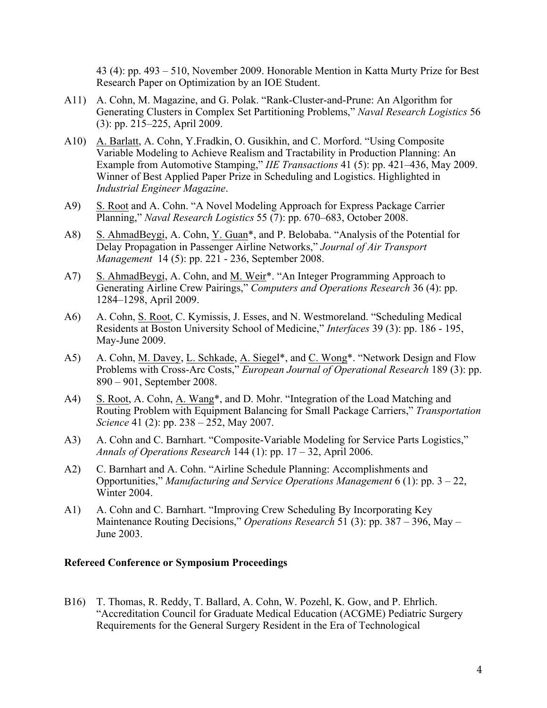43 (4): pp. 493 – 510, November 2009. Honorable Mention in Katta Murty Prize for Best Research Paper on Optimization by an IOE Student.

- A11) A. Cohn, M. Magazine, and G. Polak. "Rank-Cluster-and-Prune: An Algorithm for Generating Clusters in Complex Set Partitioning Problems," *Naval Research Logistics* 56 (3): pp. 215–225, April 2009.
- A10) A. Barlatt, A. Cohn, Y.Fradkin, O. Gusikhin, and C. Morford. "Using Composite Variable Modeling to Achieve Realism and Tractability in Production Planning: An Example from Automotive Stamping," *IIE Transactions* 41 (5): pp. 421–436, May 2009. Winner of Best Applied Paper Prize in Scheduling and Logistics. Highlighted in *Industrial Engineer Magazine*.
- A9) S. Root and A. Cohn. "A Novel Modeling Approach for Express Package Carrier Planning," *Naval Research Logistics* 55 (7): pp. 670–683, October 2008.
- A8) S. AhmadBeygi, A. Cohn, Y. Guan\*, and P. Belobaba. "Analysis of the Potential for Delay Propagation in Passenger Airline Networks," *Journal of Air Transport Management* 14 (5): pp. 221 - 236, September 2008.
- A7) S. AhmadBeygi, A. Cohn, and M. Weir\*. "An Integer Programming Approach to Generating Airline Crew Pairings," *Computers and Operations Research* 36 (4): pp. 1284–1298, April 2009.
- A6) A. Cohn, S. Root, C. Kymissis, J. Esses, and N. Westmoreland. "Scheduling Medical Residents at Boston University School of Medicine," *Interfaces* 39 (3): pp. 186 - 195, May-June 2009.
- A5) A. Cohn, M. Davey, L. Schkade, A. Siegel\*, and C. Wong\*. "Network Design and Flow Problems with Cross-Arc Costs," *European Journal of Operational Research* 189 (3): pp. 890 – 901, September 2008.
- A4) S. Root, A. Cohn, A. Wang\*, and D. Mohr. "Integration of the Load Matching and Routing Problem with Equipment Balancing for Small Package Carriers," *Transportation Science* 41 (2): pp. 238 – 252, May 2007.
- A3) A. Cohn and C. Barnhart. "Composite-Variable Modeling for Service Parts Logistics," *Annals of Operations Research* 144 (1): pp. 17 – 32, April 2006.
- A2) C. Barnhart and A. Cohn. "Airline Schedule Planning: Accomplishments and Opportunities," *Manufacturing and Service Operations Management* 6 (1): pp. 3 – 22, Winter 2004.
- A1) A. Cohn and C. Barnhart. "Improving Crew Scheduling By Incorporating Key Maintenance Routing Decisions," *Operations Research* 51 (3): pp. 387 – 396, May – June 2003.

#### **Refereed Conference or Symposium Proceedings**

B16) T. Thomas, R. Reddy, T. Ballard, A. Cohn, W. Pozehl, K. Gow, and P. Ehrlich. "Accreditation Council for Graduate Medical Education (ACGME) Pediatric Surgery Requirements for the General Surgery Resident in the Era of Technological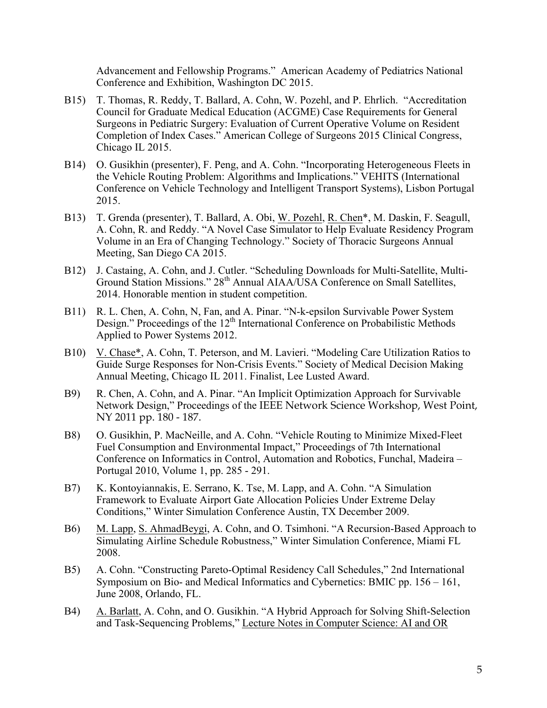Advancement and Fellowship Programs." American Academy of Pediatrics National Conference and Exhibition, Washington DC 2015.

- B15) T. Thomas, R. Reddy, T. Ballard, A. Cohn, W. Pozehl, and P. Ehrlich. "Accreditation Council for Graduate Medical Education (ACGME) Case Requirements for General Surgeons in Pediatric Surgery: Evaluation of Current Operative Volume on Resident Completion of Index Cases." American College of Surgeons 2015 Clinical Congress, Chicago IL 2015.
- B14) O. Gusikhin (presenter), F. Peng, and A. Cohn. "Incorporating Heterogeneous Fleets in the Vehicle Routing Problem: Algorithms and Implications." VEHITS (International Conference on Vehicle Technology and Intelligent Transport Systems), Lisbon Portugal 2015.
- B13) T. Grenda (presenter), T. Ballard, A. Obi, W. Pozehl, R. Chen\*, M. Daskin, F. Seagull, A. Cohn, R. and Reddy. "A Novel Case Simulator to Help Evaluate Residency Program Volume in an Era of Changing Technology." Society of Thoracic Surgeons Annual Meeting, San Diego CA 2015.
- B12) J. Castaing, A. Cohn, and J. Cutler. "Scheduling Downloads for Multi-Satellite, Multi-Ground Station Missions."  $28^{th}$  Annual AIAA/USA Conference on Small Satellites, 2014. Honorable mention in student competition.
- B11) R. L. Chen, A. Cohn, N, Fan, and A. Pinar. "N-k-epsilon Survivable Power System Design." Proceedings of the 12<sup>th</sup> International Conference on Probabilistic Methods Applied to Power Systems 2012.
- B10) V. Chase\*, A. Cohn, T. Peterson, and M. Lavieri. "Modeling Care Utilization Ratios to Guide Surge Responses for Non-Crisis Events." Society of Medical Decision Making Annual Meeting, Chicago IL 2011. Finalist, Lee Lusted Award.
- B9) R. Chen, A. Cohn, and A. Pinar. "An Implicit Optimization Approach for Survivable Network Design," Proceedings of the IEEE Network Science Workshop, West Point, NY 2011 pp. 180 - 187.
- B8) O. Gusikhin, P. MacNeille, and A. Cohn. "Vehicle Routing to Minimize Mixed-Fleet Fuel Consumption and Environmental Impact," Proceedings of 7th International Conference on Informatics in Control, Automation and Robotics, Funchal, Madeira – Portugal 2010, Volume 1, pp. 285 - 291.
- B7) K. Kontoyiannakis, E. Serrano, K. Tse, M. Lapp, and A. Cohn. "A Simulation Framework to Evaluate Airport Gate Allocation Policies Under Extreme Delay Conditions," Winter Simulation Conference Austin, TX December 2009.
- B6) M. Lapp, S. AhmadBeygi, A. Cohn, and O. Tsimhoni. "A Recursion-Based Approach to Simulating Airline Schedule Robustness," Winter Simulation Conference, Miami FL 2008.
- B5) A. Cohn. "Constructing Pareto-Optimal Residency Call Schedules," 2nd International Symposium on Bio- and Medical Informatics and Cybernetics: BMIC pp. 156 – 161, June 2008, Orlando, FL.
- B4) A. Barlatt, A. Cohn, and O. Gusikhin. "A Hybrid Approach for Solving Shift-Selection and Task-Sequencing Problems," Lecture Notes in Computer Science: AI and OR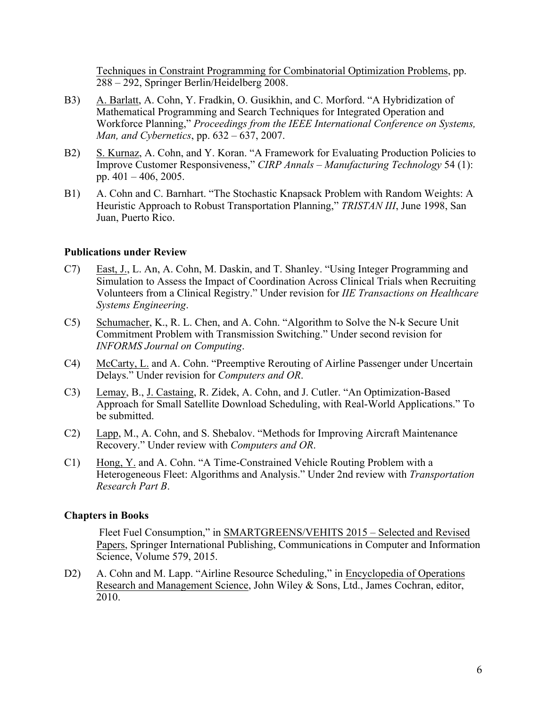Techniques in Constraint Programming for Combinatorial Optimization Problems, pp. 288 – 292, Springer Berlin/Heidelberg 2008.

- B3) A. Barlatt, A. Cohn, Y. Fradkin, O. Gusikhin, and C. Morford. "A Hybridization of Mathematical Programming and Search Techniques for Integrated Operation and Workforce Planning," *Proceedings from the IEEE International Conference on Systems, Man, and Cybernetics*, pp. 632 – 637, 2007.
- B2) S. Kurnaz, A. Cohn, and Y. Koran. "A Framework for Evaluating Production Policies to Improve Customer Responsiveness," *CIRP Annals – Manufacturing Technology* 54 (1): pp. 401 – 406, 2005.
- B1) A. Cohn and C. Barnhart. "The Stochastic Knapsack Problem with Random Weights: A Heuristic Approach to Robust Transportation Planning," *TRISTAN III*, June 1998, San Juan, Puerto Rico.

### **Publications under Review**

- C7) East, J., L. An, A. Cohn, M. Daskin, and T. Shanley. "Using Integer Programming and Simulation to Assess the Impact of Coordination Across Clinical Trials when Recruiting Volunteers from a Clinical Registry." Under revision for *IIE Transactions on Healthcare Systems Engineering*.
- C5) Schumacher, K., R. L. Chen, and A. Cohn. "Algorithm to Solve the N-k Secure Unit Commitment Problem with Transmission Switching." Under second revision for *INFORMS Journal on Computing*.
- C4) McCarty, L. and A. Cohn. "Preemptive Rerouting of Airline Passenger under Uncertain Delays." Under revision for *Computers and OR*.
- C3) Lemay, B., J. Castaing, R. Zidek, A. Cohn, and J. Cutler. "An Optimization-Based Approach for Small Satellite Download Scheduling, with Real-World Applications." To be submitted.
- C2) Lapp, M., A. Cohn, and S. Shebalov. "Methods for Improving Aircraft Maintenance Recovery." Under review with *Computers and OR*.
- C1) Hong, Y. and A. Cohn. "A Time-Constrained Vehicle Routing Problem with a Heterogeneous Fleet: Algorithms and Analysis." Under 2nd review with *Transportation Research Part B*.

### **Chapters in Books**

Fleet Fuel Consumption," in SMARTGREENS/VEHITS 2015 – Selected and Revised Papers, Springer International Publishing, Communications in Computer and Information Science, Volume 579, 2015.

D2) A. Cohn and M. Lapp. "Airline Resource Scheduling," in Encyclopedia of Operations Research and Management Science, John Wiley & Sons, Ltd., James Cochran, editor, 2010.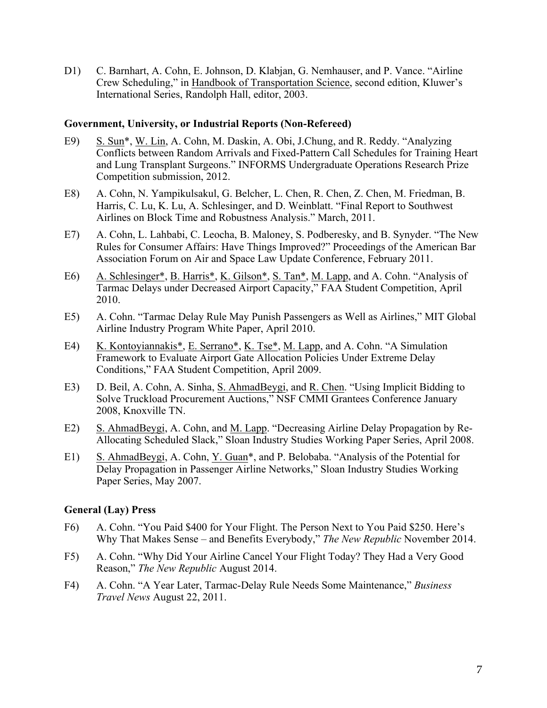D1) C. Barnhart, A. Cohn, E. Johnson, D. Klabjan, G. Nemhauser, and P. Vance. "Airline Crew Scheduling," in Handbook of Transportation Science, second edition, Kluwer's International Series, Randolph Hall, editor, 2003.

#### **Government, University, or Industrial Reports (Non-Refereed)**

- E9) S. Sun\*, W. Lin, A. Cohn, M. Daskin, A. Obi, J.Chung, and R. Reddy. "Analyzing Conflicts between Random Arrivals and Fixed-Pattern Call Schedules for Training Heart and Lung Transplant Surgeons." INFORMS Undergraduate Operations Research Prize Competition submission, 2012.
- E8) A. Cohn, N. Yampikulsakul, G. Belcher, L. Chen, R. Chen, Z. Chen, M. Friedman, B. Harris, C. Lu, K. Lu, A. Schlesinger, and D. Weinblatt. "Final Report to Southwest Airlines on Block Time and Robustness Analysis." March, 2011.
- E7) A. Cohn, L. Lahbabi, C. Leocha, B. Maloney, S. Podberesky, and B. Synyder. "The New Rules for Consumer Affairs: Have Things Improved?" Proceedings of the American Bar Association Forum on Air and Space Law Update Conference, February 2011.
- E6) A. Schlesinger\*, B. Harris\*, K. Gilson\*, S. Tan\*, M. Lapp, and A. Cohn. "Analysis of Tarmac Delays under Decreased Airport Capacity," FAA Student Competition, April 2010.
- E5) A. Cohn. "Tarmac Delay Rule May Punish Passengers as Well as Airlines," MIT Global Airline Industry Program White Paper, April 2010.
- E4) K. Kontoyiannakis\*, E. Serrano\*, K. Tse\*, M. Lapp, and A. Cohn. "A Simulation Framework to Evaluate Airport Gate Allocation Policies Under Extreme Delay Conditions," FAA Student Competition, April 2009.
- E3) D. Beil, A. Cohn, A. Sinha, <u>S. AhmadBeygi</u>, and <u>R. Chen</u>. "Using Implicit Bidding to Solve Truckload Procurement Auctions," NSF CMMI Grantees Conference January 2008, Knoxville TN.
- E2) S. AhmadBeygi, A. Cohn, and M. Lapp. "Decreasing Airline Delay Propagation by Re-Allocating Scheduled Slack," Sloan Industry Studies Working Paper Series, April 2008.
- E1) S. AhmadBeygi, A. Cohn, Y. Guan\*, and P. Belobaba. "Analysis of the Potential for Delay Propagation in Passenger Airline Networks," Sloan Industry Studies Working Paper Series, May 2007.

#### **General (Lay) Press**

- F6) A. Cohn. "You Paid \$400 for Your Flight. The Person Next to You Paid \$250. Here's Why That Makes Sense – and Benefits Everybody," *The New Republic* November 2014.
- F5) A. Cohn. "Why Did Your Airline Cancel Your Flight Today? They Had a Very Good Reason," *The New Republic* August 2014.
- F4) A. Cohn. "A Year Later, Tarmac-Delay Rule Needs Some Maintenance," *Business Travel News* August 22, 2011.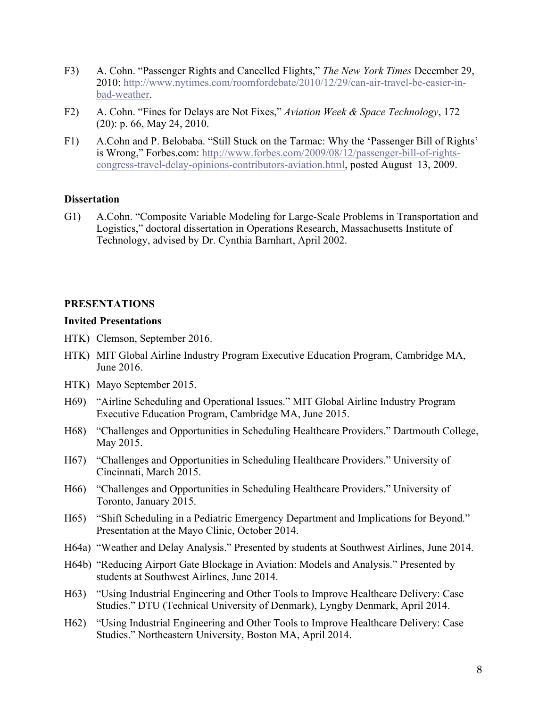- F3) A. Cohn. "Passenger Rights and Cancelled Flights," *The New York Times* December 29, 2010: http://www.nytimes.com/roomfordebate/2010/12/29/can-air-travel-be-easier-inbad-weather.
- F2) A. Cohn. "Fines for Delays are Not Fixes," *Aviation Week & Space Technology*, 172 (20): p. 66, May 24, 2010.
- F1) A.Cohn and P. Belobaba. "Still Stuck on the Tarmac: Why the 'Passenger Bill of Rights' is Wrong," Forbes.com: http://www.forbes.com/2009/08/12/passenger-bill-of-rightscongress-travel-delay-opinions-contributors-aviation.html, posted August 13, 2009.

## **Dissertation**

G1) A.Cohn. "Composite Variable Modeling for Large-Scale Problems in Transportation and Logistics," doctoral dissertation in Operations Research, Massachusetts Institute of Technology, advised by Dr. Cynthia Barnhart, April 2002.

# **PRESENTATIONS**

### **Invited Presentations**

- HTK) Clemson, September 2016.
- HTK) MIT Global Airline Industry Program Executive Education Program, Cambridge MA, June 2016.
- HTK) Mayo September 2015.
- H69) "Airline Scheduling and Operational Issues." MIT Global Airline Industry Program Executive Education Program, Cambridge MA, June 2015.
- H68) "Challenges and Opportunities in Scheduling Healthcare Providers." Dartmouth College, May 2015.
- H67) "Challenges and Opportunities in Scheduling Healthcare Providers." University of Cincinnati, March 2015.
- H66) "Challenges and Opportunities in Scheduling Healthcare Providers." University of Toronto, January 2015.
- H65) "Shift Scheduling in a Pediatric Emergency Department and Implications for Beyond." Presentation at the Mayo Clinic, October 2014.
- H64a) "Weather and Delay Analysis." Presented by students at Southwest Airlines, June 2014.
- H64b) "Reducing Airport Gate Blockage in Aviation: Models and Analysis." Presented by students at Southwest Airlines, June 2014.
- H63) "Using Industrial Engineering and Other Tools to Improve Healthcare Delivery: Case Studies." DTU (Technical University of Denmark), Lyngby Denmark, April 2014.
- H62) "Using Industrial Engineering and Other Tools to Improve Healthcare Delivery: Case Studies." Northeastern University, Boston MA, April 2014.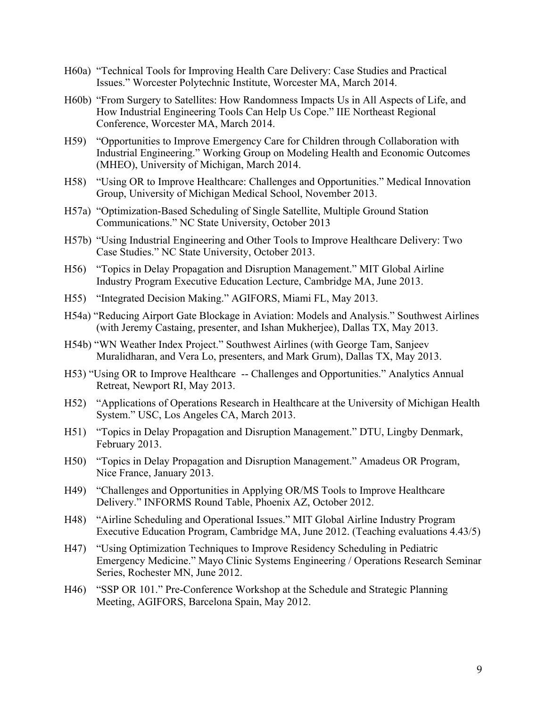- H60a) "Technical Tools for Improving Health Care Delivery: Case Studies and Practical Issues." Worcester Polytechnic Institute, Worcester MA, March 2014.
- H60b) "From Surgery to Satellites: How Randomness Impacts Us in All Aspects of Life, and How Industrial Engineering Tools Can Help Us Cope." IIE Northeast Regional Conference, Worcester MA, March 2014.
- H59) "Opportunities to Improve Emergency Care for Children through Collaboration with Industrial Engineering." Working Group on Modeling Health and Economic Outcomes (MHEO), University of Michigan, March 2014.
- H58) "Using OR to Improve Healthcare: Challenges and Opportunities." Medical Innovation Group, University of Michigan Medical School, November 2013.
- H57a) "Optimization-Based Scheduling of Single Satellite, Multiple Ground Station Communications." NC State University, October 2013
- H57b) "Using Industrial Engineering and Other Tools to Improve Healthcare Delivery: Two Case Studies." NC State University, October 2013.
- H56) "Topics in Delay Propagation and Disruption Management." MIT Global Airline Industry Program Executive Education Lecture, Cambridge MA, June 2013.
- H55) "Integrated Decision Making." AGIFORS, Miami FL, May 2013.
- H54a) "Reducing Airport Gate Blockage in Aviation: Models and Analysis." Southwest Airlines (with Jeremy Castaing, presenter, and Ishan Mukherjee), Dallas TX, May 2013.
- H54b) "WN Weather Index Project." Southwest Airlines (with George Tam, Sanjeev Muralidharan, and Vera Lo, presenters, and Mark Grum), Dallas TX, May 2013.
- H53) "Using OR to Improve Healthcare -- Challenges and Opportunities." Analytics Annual Retreat, Newport RI, May 2013.
- H52) "Applications of Operations Research in Healthcare at the University of Michigan Health System." USC, Los Angeles CA, March 2013.
- H51) "Topics in Delay Propagation and Disruption Management." DTU, Lingby Denmark, February 2013.
- H50) "Topics in Delay Propagation and Disruption Management." Amadeus OR Program, Nice France, January 2013.
- H49) "Challenges and Opportunities in Applying OR/MS Tools to Improve Healthcare Delivery." INFORMS Round Table, Phoenix AZ, October 2012.
- H48) "Airline Scheduling and Operational Issues." MIT Global Airline Industry Program Executive Education Program, Cambridge MA, June 2012. (Teaching evaluations 4.43/5)
- H47) "Using Optimization Techniques to Improve Residency Scheduling in Pediatric Emergency Medicine." Mayo Clinic Systems Engineering / Operations Research Seminar Series, Rochester MN, June 2012.
- H46) "SSP OR 101." Pre-Conference Workshop at the Schedule and Strategic Planning Meeting, AGIFORS, Barcelona Spain, May 2012.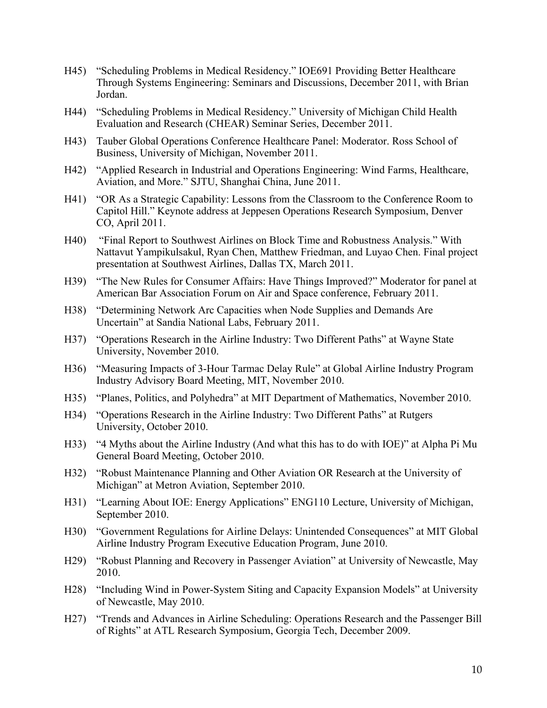- H45) "Scheduling Problems in Medical Residency." IOE691 Providing Better Healthcare Through Systems Engineering: Seminars and Discussions, December 2011, with Brian Jordan.
- H44) "Scheduling Problems in Medical Residency." University of Michigan Child Health Evaluation and Research (CHEAR) Seminar Series, December 2011.
- H43) Tauber Global Operations Conference Healthcare Panel: Moderator. Ross School of Business, University of Michigan, November 2011.
- H42) "Applied Research in Industrial and Operations Engineering: Wind Farms, Healthcare, Aviation, and More." SJTU, Shanghai China, June 2011.
- H41) "OR As a Strategic Capability: Lessons from the Classroom to the Conference Room to Capitol Hill." Keynote address at Jeppesen Operations Research Symposium, Denver CO, April 2011.
- H40) "Final Report to Southwest Airlines on Block Time and Robustness Analysis." With Nattavut Yampikulsakul, Ryan Chen, Matthew Friedman, and Luyao Chen. Final project presentation at Southwest Airlines, Dallas TX, March 2011.
- H39) "The New Rules for Consumer Affairs: Have Things Improved?" Moderator for panel at American Bar Association Forum on Air and Space conference, February 2011.
- H38) "Determining Network Arc Capacities when Node Supplies and Demands Are Uncertain" at Sandia National Labs, February 2011.
- H37) "Operations Research in the Airline Industry: Two Different Paths" at Wayne State University, November 2010.
- H36) "Measuring Impacts of 3-Hour Tarmac Delay Rule" at Global Airline Industry Program Industry Advisory Board Meeting, MIT, November 2010.
- H35) "Planes, Politics, and Polyhedra" at MIT Department of Mathematics, November 2010.
- H34) "Operations Research in the Airline Industry: Two Different Paths" at Rutgers University, October 2010.
- H33) "4 Myths about the Airline Industry (And what this has to do with IOE)" at Alpha Pi Mu General Board Meeting, October 2010.
- H32) "Robust Maintenance Planning and Other Aviation OR Research at the University of Michigan" at Metron Aviation, September 2010.
- H31) "Learning About IOE: Energy Applications" ENG110 Lecture, University of Michigan, September 2010.
- H30) "Government Regulations for Airline Delays: Unintended Consequences" at MIT Global Airline Industry Program Executive Education Program, June 2010.
- H29) "Robust Planning and Recovery in Passenger Aviation" at University of Newcastle, May 2010.
- H28) "Including Wind in Power-System Siting and Capacity Expansion Models" at University of Newcastle, May 2010.
- H27) "Trends and Advances in Airline Scheduling: Operations Research and the Passenger Bill of Rights" at ATL Research Symposium, Georgia Tech, December 2009.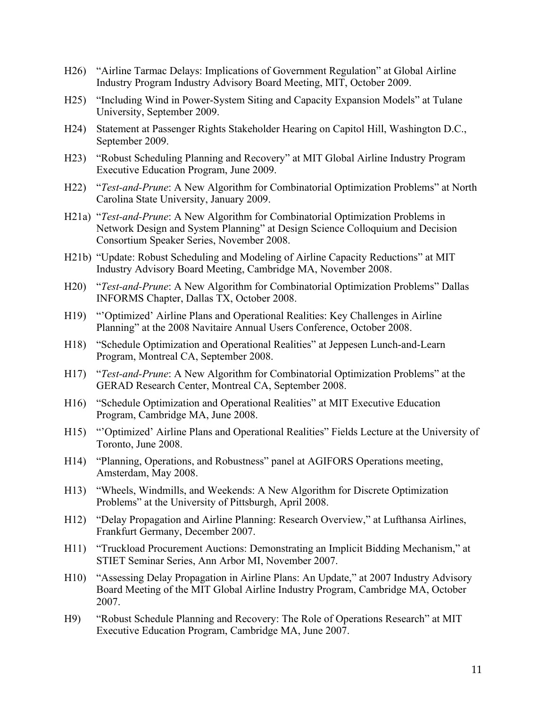- H26) "Airline Tarmac Delays: Implications of Government Regulation" at Global Airline Industry Program Industry Advisory Board Meeting, MIT, October 2009.
- H25) "Including Wind in Power-System Siting and Capacity Expansion Models" at Tulane University, September 2009.
- H24) Statement at Passenger Rights Stakeholder Hearing on Capitol Hill, Washington D.C., September 2009.
- H23) "Robust Scheduling Planning and Recovery" at MIT Global Airline Industry Program Executive Education Program, June 2009.
- H22) "*Test-and-Prune*: A New Algorithm for Combinatorial Optimization Problems" at North Carolina State University, January 2009.
- H21a) "*Test-and-Prune*: A New Algorithm for Combinatorial Optimization Problems in Network Design and System Planning" at Design Science Colloquium and Decision Consortium Speaker Series, November 2008.
- H21b) "Update: Robust Scheduling and Modeling of Airline Capacity Reductions" at MIT Industry Advisory Board Meeting, Cambridge MA, November 2008.
- H20) "*Test-and-Prune*: A New Algorithm for Combinatorial Optimization Problems" Dallas INFORMS Chapter, Dallas TX, October 2008.
- H19) "'Optimized' Airline Plans and Operational Realities: Key Challenges in Airline Planning" at the 2008 Navitaire Annual Users Conference, October 2008.
- H18) "Schedule Optimization and Operational Realities" at Jeppesen Lunch-and-Learn Program, Montreal CA, September 2008.
- H17) "*Test-and-Prune*: A New Algorithm for Combinatorial Optimization Problems" at the GERAD Research Center, Montreal CA, September 2008.
- H16) "Schedule Optimization and Operational Realities" at MIT Executive Education Program, Cambridge MA, June 2008.
- H15) "'Optimized' Airline Plans and Operational Realities" Fields Lecture at the University of Toronto, June 2008.
- H14) "Planning, Operations, and Robustness" panel at AGIFORS Operations meeting, Amsterdam, May 2008.
- H13) "Wheels, Windmills, and Weekends: A New Algorithm for Discrete Optimization Problems" at the University of Pittsburgh, April 2008.
- H12) "Delay Propagation and Airline Planning: Research Overview," at Lufthansa Airlines, Frankfurt Germany, December 2007.
- H11) "Truckload Procurement Auctions: Demonstrating an Implicit Bidding Mechanism," at STIET Seminar Series, Ann Arbor MI, November 2007.
- H10) "Assessing Delay Propagation in Airline Plans: An Update," at 2007 Industry Advisory Board Meeting of the MIT Global Airline Industry Program, Cambridge MA, October 2007.
- H9) "Robust Schedule Planning and Recovery: The Role of Operations Research" at MIT Executive Education Program, Cambridge MA, June 2007.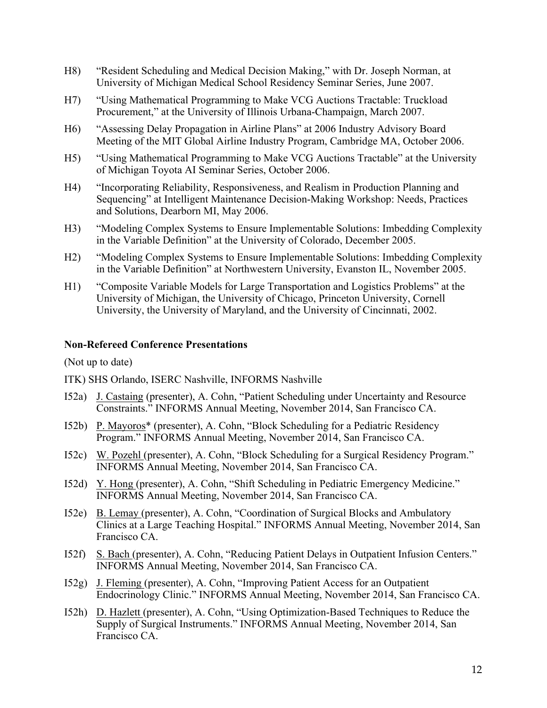- H8) "Resident Scheduling and Medical Decision Making," with Dr. Joseph Norman, at University of Michigan Medical School Residency Seminar Series, June 2007.
- H7) "Using Mathematical Programming to Make VCG Auctions Tractable: Truckload Procurement," at the University of Illinois Urbana-Champaign, March 2007.
- H6) "Assessing Delay Propagation in Airline Plans" at 2006 Industry Advisory Board Meeting of the MIT Global Airline Industry Program, Cambridge MA, October 2006.
- H5) "Using Mathematical Programming to Make VCG Auctions Tractable" at the University of Michigan Toyota AI Seminar Series, October 2006.
- H4) "Incorporating Reliability, Responsiveness, and Realism in Production Planning and Sequencing" at Intelligent Maintenance Decision-Making Workshop: Needs, Practices and Solutions, Dearborn MI, May 2006.
- H3) "Modeling Complex Systems to Ensure Implementable Solutions: Imbedding Complexity in the Variable Definition" at the University of Colorado, December 2005.
- H2) "Modeling Complex Systems to Ensure Implementable Solutions: Imbedding Complexity in the Variable Definition" at Northwestern University, Evanston IL, November 2005.
- H1) "Composite Variable Models for Large Transportation and Logistics Problems" at the University of Michigan, the University of Chicago, Princeton University, Cornell University, the University of Maryland, and the University of Cincinnati, 2002.

#### **Non-Refereed Conference Presentations**

(Not up to date)

- ITK) SHS Orlando, ISERC Nashville, INFORMS Nashville
- I52a) J. Castaing (presenter), A. Cohn, "Patient Scheduling under Uncertainty and Resource Constraints." INFORMS Annual Meeting, November 2014, San Francisco CA.
- I52b) P. Mayoros\* (presenter), A. Cohn, "Block Scheduling for a Pediatric Residency Program." INFORMS Annual Meeting, November 2014, San Francisco CA.
- I52c) W. Pozehl (presenter), A. Cohn, "Block Scheduling for a Surgical Residency Program." INFORMS Annual Meeting, November 2014, San Francisco CA.
- I52d) Y. Hong (presenter), A. Cohn, "Shift Scheduling in Pediatric Emergency Medicine." INFORMS Annual Meeting, November 2014, San Francisco CA.
- I52e) B. Lemay (presenter), A. Cohn, "Coordination of Surgical Blocks and Ambulatory Clinics at a Large Teaching Hospital." INFORMS Annual Meeting, November 2014, San Francisco CA.
- I52f) S. Bach (presenter), A. Cohn, "Reducing Patient Delays in Outpatient Infusion Centers." INFORMS Annual Meeting, November 2014, San Francisco CA.
- I52g) J. Fleming (presenter), A. Cohn, "Improving Patient Access for an Outpatient Endocrinology Clinic." INFORMS Annual Meeting, November 2014, San Francisco CA.
- I52h) D. Hazlett (presenter), A. Cohn, "Using Optimization-Based Techniques to Reduce the Supply of Surgical Instruments." INFORMS Annual Meeting, November 2014, San Francisco CA.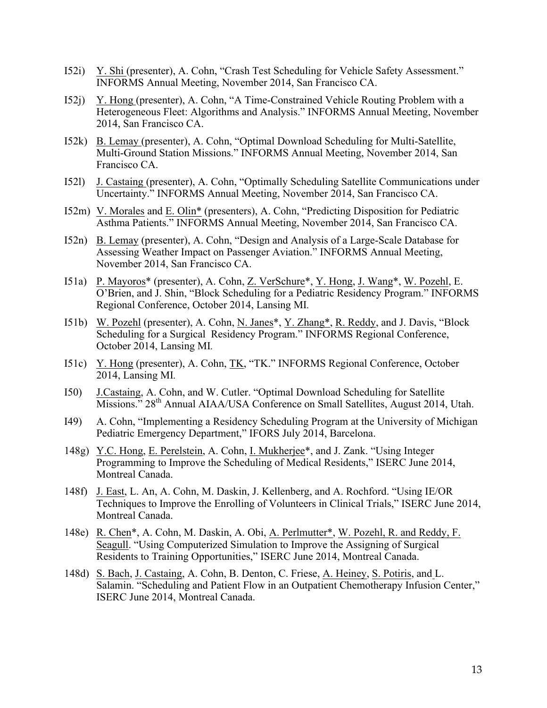- I52i) Y. Shi (presenter), A. Cohn, "Crash Test Scheduling for Vehicle Safety Assessment." INFORMS Annual Meeting, November 2014, San Francisco CA.
- I52j) Y. Hong (presenter), A. Cohn, "A Time-Constrained Vehicle Routing Problem with a Heterogeneous Fleet: Algorithms and Analysis." INFORMS Annual Meeting, November 2014, San Francisco CA.
- I52k) B. Lemay (presenter), A. Cohn, "Optimal Download Scheduling for Multi-Satellite, Multi-Ground Station Missions." INFORMS Annual Meeting, November 2014, San Francisco CA.
- I52l) J. Castaing (presenter), A. Cohn, "Optimally Scheduling Satellite Communications under Uncertainty." INFORMS Annual Meeting, November 2014, San Francisco CA.
- I52m) V. Morales and E. Olin\* (presenters), A. Cohn, "Predicting Disposition for Pediatric Asthma Patients." INFORMS Annual Meeting, November 2014, San Francisco CA.
- I52n) B. Lemay (presenter), A. Cohn, "Design and Analysis of a Large-Scale Database for Assessing Weather Impact on Passenger Aviation." INFORMS Annual Meeting, November 2014, San Francisco CA.
- I51a) P. Mayoros\* (presenter), A. Cohn, Z. VerSchure\*, Y. Hong, J. Wang\*, W. Pozehl, E. O'Brien, and J. Shin, "Block Scheduling for a Pediatric Residency Program." INFORMS Regional Conference, October 2014, Lansing MI*.*
- I51b) W. Pozehl (presenter), A. Cohn, N. Janes\*, Y. Zhang\*, R. Reddy, and J. Davis, "Block Scheduling for a Surgical Residency Program." INFORMS Regional Conference, October 2014, Lansing MI*.*
- I51c) Y. Hong (presenter), A. Cohn, TK, "TK." INFORMS Regional Conference, October 2014, Lansing MI*.*
- I50) J.Castaing, A. Cohn, and W. Cutler. "Optimal Download Scheduling for Satellite Missions." 28th Annual AIAA/USA Conference on Small Satellites, August 2014, Utah.
- I49) A. Cohn, "Implementing a Residency Scheduling Program at the University of Michigan Pediatric Emergency Department," IFORS July 2014, Barcelona.
- 148g) Y.C. Hong, E. Perelstein, A. Cohn, I. Mukherjee\*, and J. Zank. "Using Integer Programming to Improve the Scheduling of Medical Residents," ISERC June 2014, Montreal Canada.
- 148f) J. East, L. An, A. Cohn, M. Daskin, J. Kellenberg, and A. Rochford. "Using IE/OR Techniques to Improve the Enrolling of Volunteers in Clinical Trials," ISERC June 2014, Montreal Canada.
- 148e) R. Chen\*, A. Cohn, M. Daskin, A. Obi, A. Perlmutter\*, W. Pozehl, R. and Reddy, F. Seagull. "Using Computerized Simulation to Improve the Assigning of Surgical Residents to Training Opportunities," ISERC June 2014, Montreal Canada.
- 148d) S. Bach, J. Castaing, A. Cohn, B. Denton, C. Friese, A. Heiney, S. Potiris, and L. Salamin. "Scheduling and Patient Flow in an Outpatient Chemotherapy Infusion Center," ISERC June 2014, Montreal Canada.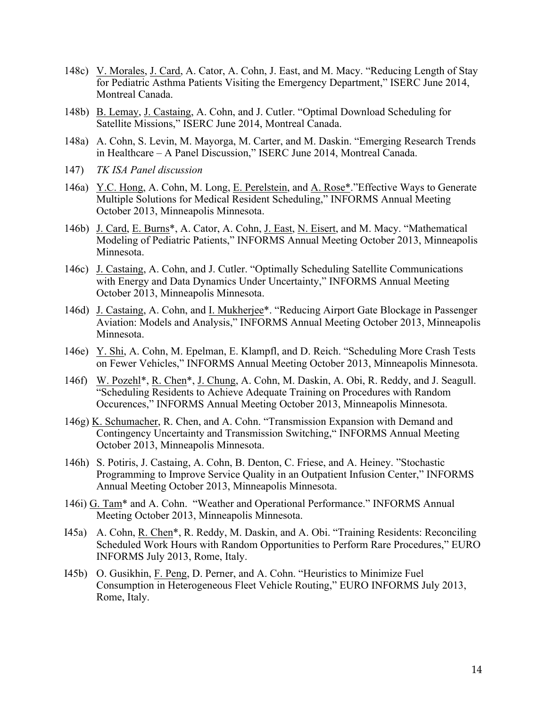- 148c) V. Morales, J. Card, A. Cator, A. Cohn, J. East, and M. Macy. "Reducing Length of Stay for Pediatric Asthma Patients Visiting the Emergency Department," ISERC June 2014, Montreal Canada.
- 148b) B. Lemay, J. Castaing, A. Cohn, and J. Cutler. "Optimal Download Scheduling for Satellite Missions," ISERC June 2014, Montreal Canada.
- 148a) A. Cohn, S. Levin, M. Mayorga, M. Carter, and M. Daskin. "Emerging Research Trends in Healthcare – A Panel Discussion," ISERC June 2014, Montreal Canada.
- 147) *TK ISA Panel discussion*
- 146a) Y.C. Hong, A. Cohn, M. Long, E. Perelstein, and A. Rose\*."Effective Ways to Generate Multiple Solutions for Medical Resident Scheduling," INFORMS Annual Meeting October 2013, Minneapolis Minnesota.
- 146b) J. Card, E. Burns\*, A. Cator, A. Cohn, J. East, N. Eisert, and M. Macy. "Mathematical Modeling of Pediatric Patients," INFORMS Annual Meeting October 2013, Minneapolis Minnesota.
- 146c) J. Castaing, A. Cohn, and J. Cutler. "Optimally Scheduling Satellite Communications with Energy and Data Dynamics Under Uncertainty," INFORMS Annual Meeting October 2013, Minneapolis Minnesota.
- 146d) J. Castaing, A. Cohn, and I. Mukherjee\*. "Reducing Airport Gate Blockage in Passenger Aviation: Models and Analysis," INFORMS Annual Meeting October 2013, Minneapolis Minnesota.
- 146e) Y. Shi, A. Cohn, M. Epelman, E. Klampfl, and D. Reich. "Scheduling More Crash Tests on Fewer Vehicles," INFORMS Annual Meeting October 2013, Minneapolis Minnesota.
- 146f) W. Pozehl\*, R. Chen\*, J. Chung, A. Cohn, M. Daskin, A. Obi, R. Reddy, and J. Seagull. "Scheduling Residents to Achieve Adequate Training on Procedures with Random Occurences," INFORMS Annual Meeting October 2013, Minneapolis Minnesota.
- 146g) K. Schumacher, R. Chen, and A. Cohn. "Transmission Expansion with Demand and Contingency Uncertainty and Transmission Switching," INFORMS Annual Meeting October 2013, Minneapolis Minnesota.
- 146h) S. Potiris, J. Castaing, A. Cohn, B. Denton, C. Friese, and A. Heiney. "Stochastic Programming to Improve Service Quality in an Outpatient Infusion Center," INFORMS Annual Meeting October 2013, Minneapolis Minnesota.
- 146i) G. Tam\* and A. Cohn. "Weather and Operational Performance." INFORMS Annual Meeting October 2013, Minneapolis Minnesota.
- I45a) A. Cohn, R. Chen\*, R. Reddy, M. Daskin, and A. Obi. "Training Residents: Reconciling Scheduled Work Hours with Random Opportunities to Perform Rare Procedures," EURO INFORMS July 2013, Rome, Italy.
- I45b) O. Gusikhin, F. Peng, D. Perner, and A. Cohn. "Heuristics to Minimize Fuel Consumption in Heterogeneous Fleet Vehicle Routing," EURO INFORMS July 2013, Rome, Italy.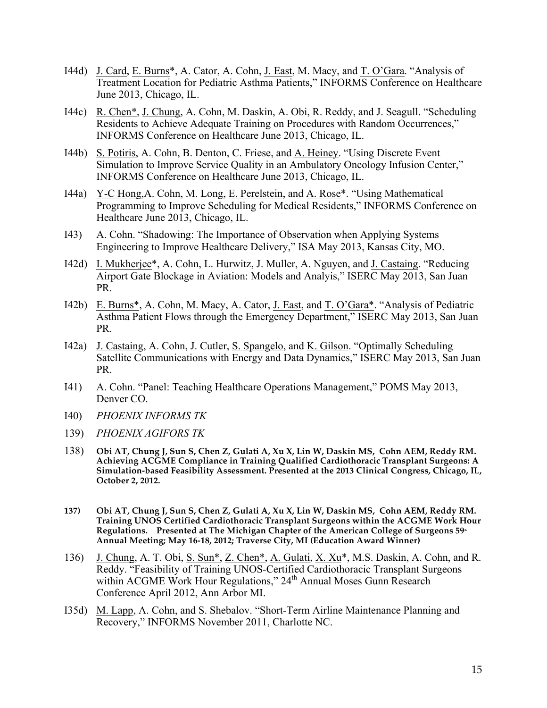- I44d) J. Card, E. Burns\*, A. Cator, A. Cohn, J. East, M. Macy, and T. O'Gara. "Analysis of Treatment Location for Pediatric Asthma Patients," INFORMS Conference on Healthcare June 2013, Chicago, IL.
- I44c) R. Chen\*, J. Chung, A. Cohn, M. Daskin, A. Obi, R. Reddy, and J. Seagull. "Scheduling Residents to Achieve Adequate Training on Procedures with Random Occurrences," INFORMS Conference on Healthcare June 2013, Chicago, IL.
- I44b) S. Potiris, A. Cohn, B. Denton, C. Friese, and A. Heiney. "Using Discrete Event Simulation to Improve Service Quality in an Ambulatory Oncology Infusion Center," INFORMS Conference on Healthcare June 2013, Chicago, IL.
- I44a) Y-C Hong,A. Cohn, M. Long, E. Perelstein, and A. Rose\*. "Using Mathematical Programming to Improve Scheduling for Medical Residents," INFORMS Conference on Healthcare June 2013, Chicago, IL.
- I43) A. Cohn. "Shadowing: The Importance of Observation when Applying Systems Engineering to Improve Healthcare Delivery," ISA May 2013, Kansas City, MO.
- I42d) I. Mukherjee\*, A. Cohn, L. Hurwitz, J. Muller, A. Nguyen, and J. Castaing. "Reducing Airport Gate Blockage in Aviation: Models and Analyis," ISERC May 2013, San Juan PR.
- I42b) E. Burns\*, A. Cohn, M. Macy, A. Cator, J. East, and T. O'Gara\*. "Analysis of Pediatric Asthma Patient Flows through the Emergency Department," ISERC May 2013, San Juan PR.
- I42a) J. Castaing, A. Cohn, J. Cutler, S. Spangelo, and K. Gilson. "Optimally Scheduling Satellite Communications with Energy and Data Dynamics," ISERC May 2013, San Juan PR.
- I41) A. Cohn. "Panel: Teaching Healthcare Operations Management," POMS May 2013, Denver CO.
- I40) *PHOENIX INFORMS TK*
- 139) *PHOENIX AGIFORS TK*
- 138) **Obi AT, Chung J, Sun S, Chen Z, Gulati A, Xu X, Lin W, Daskin MS, Cohn AEM, Reddy RM. Achieving ACGME Compliance in Training Qualified Cardiothoracic Transplant Surgeons: A Simulation-based Feasibility Assessment. Presented at the 2013 Clinical Congress, Chicago, IL, October 2, 2012.**
- **137) Obi AT, Chung J, Sun S, Chen Z, Gulati A, Xu X, Lin W, Daskin MS, Cohn AEM, Reddy RM. Training UNOS Certified Cardiothoracic Transplant Surgeons within the ACGME Work Hour**  Regulations. Presented at The Michigan Chapter of the American College of Surgeons 59<sup>th</sup> **Annual Meeting; May 16-18, 2012; Traverse City, MI (Education Award Winner)**
- 136) J. Chung, A. T. Obi, S. Sun\*, Z. Chen\*, A. Gulati, X. Xu\*, M.S. Daskin, A. Cohn, and R. Reddy. "Feasibility of Training UNOS-Certified Cardiothoracic Transplant Surgeons within ACGME Work Hour Regulations," 24<sup>th</sup> Annual Moses Gunn Research Conference April 2012, Ann Arbor MI.
- I35d) M. Lapp, A. Cohn, and S. Shebalov. "Short-Term Airline Maintenance Planning and Recovery," INFORMS November 2011, Charlotte NC.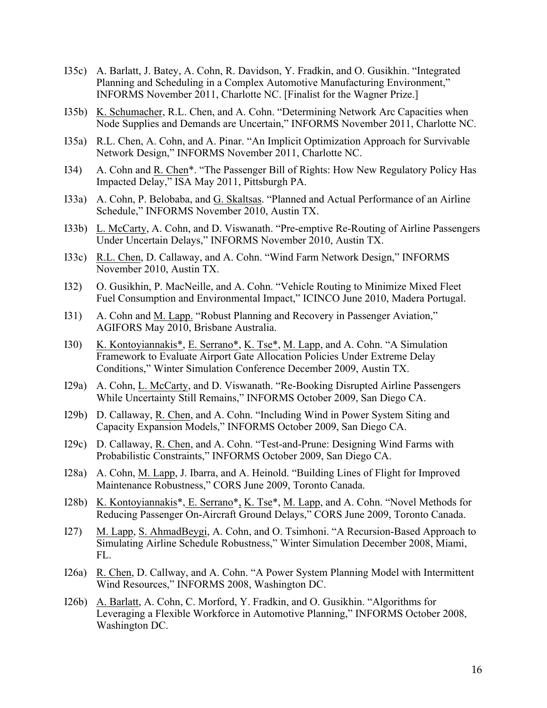- I35c) A. Barlatt, J. Batey, A. Cohn, R. Davidson, Y. Fradkin, and O. Gusikhin. "Integrated Planning and Scheduling in a Complex Automotive Manufacturing Environment," INFORMS November 2011, Charlotte NC. [Finalist for the Wagner Prize.]
- I35b) K. Schumacher, R.L. Chen, and A. Cohn. "Determining Network Arc Capacities when Node Supplies and Demands are Uncertain," INFORMS November 2011, Charlotte NC.
- I35a) R.L. Chen, A. Cohn, and A. Pinar. "An Implicit Optimization Approach for Survivable Network Design," INFORMS November 2011, Charlotte NC.
- I34) A. Cohn and R. Chen\*. "The Passenger Bill of Rights: How New Regulatory Policy Has Impacted Delay," ISA May 2011, Pittsburgh PA.
- I33a) A. Cohn, P. Belobaba, and G. Skaltsas. "Planned and Actual Performance of an Airline Schedule," INFORMS November 2010, Austin TX.
- I33b) L. McCarty, A. Cohn, and D. Viswanath. "Pre-emptive Re-Routing of Airline Passengers Under Uncertain Delays," INFORMS November 2010, Austin TX.
- I33c) R.L. Chen, D. Callaway, and A. Cohn. "Wind Farm Network Design," INFORMS November 2010, Austin TX.
- I32) O. Gusikhin, P. MacNeille, and A. Cohn. "Vehicle Routing to Minimize Mixed Fleet Fuel Consumption and Environmental Impact," ICINCO June 2010, Madera Portugal.
- I31) A. Cohn and M. Lapp. "Robust Planning and Recovery in Passenger Aviation," AGIFORS May 2010, Brisbane Australia.
- I30) K. Kontoyiannakis\*, E. Serrano\*, K. Tse\*, M. Lapp, and A. Cohn. "A Simulation Framework to Evaluate Airport Gate Allocation Policies Under Extreme Delay Conditions," Winter Simulation Conference December 2009, Austin TX.
- I29a) A. Cohn, L. McCarty, and D. Viswanath. "Re-Booking Disrupted Airline Passengers While Uncertainty Still Remains," INFORMS October 2009, San Diego CA.
- I29b) D. Callaway, R. Chen, and A. Cohn. "Including Wind in Power System Siting and Capacity Expansion Models," INFORMS October 2009, San Diego CA.
- I29c) D. Callaway, R. Chen, and A. Cohn. "Test-and-Prune: Designing Wind Farms with Probabilistic Constraints," INFORMS October 2009, San Diego CA.
- I28a) A. Cohn, M. Lapp, J. Ibarra, and A. Heinold. "Building Lines of Flight for Improved Maintenance Robustness," CORS June 2009, Toronto Canada.
- I28b) K. Kontoyiannakis\*, E. Serrano\*, K. Tse\*, M. Lapp, and A. Cohn. "Novel Methods for Reducing Passenger On-Aircraft Ground Delays," CORS June 2009, Toronto Canada.
- I27) M. Lapp, S. AhmadBeygi, A. Cohn, and O. Tsimhoni. "A Recursion-Based Approach to Simulating Airline Schedule Robustness," Winter Simulation December 2008, Miami, FL.
- I26a) R. Chen, D. Callway, and A. Cohn. "A Power System Planning Model with Intermittent Wind Resources," INFORMS 2008, Washington DC.
- I26b) A. Barlatt, A. Cohn, C. Morford, Y. Fradkin, and O. Gusikhin. "Algorithms for Leveraging a Flexible Workforce in Automotive Planning," INFORMS October 2008, Washington DC.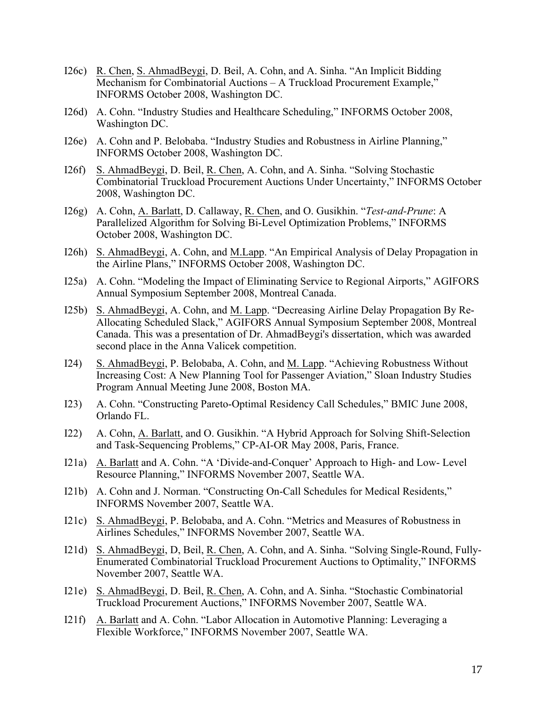- I26c) R. Chen, S. AhmadBeygi, D. Beil, A. Cohn, and A. Sinha. "An Implicit Bidding Mechanism for Combinatorial Auctions – A Truckload Procurement Example," INFORMS October 2008, Washington DC.
- I26d) A. Cohn. "Industry Studies and Healthcare Scheduling," INFORMS October 2008, Washington DC.
- I26e) A. Cohn and P. Belobaba. "Industry Studies and Robustness in Airline Planning," INFORMS October 2008, Washington DC.
- I26f) S. AhmadBeygi, D. Beil, R. Chen, A. Cohn, and A. Sinha. "Solving Stochastic Combinatorial Truckload Procurement Auctions Under Uncertainty," INFORMS October 2008, Washington DC.
- I26g) A. Cohn, A. Barlatt, D. Callaway, R. Chen, and O. Gusikhin. "*Test-and-Prune*: A Parallelized Algorithm for Solving Bi-Level Optimization Problems," INFORMS October 2008, Washington DC.
- I26h) S. AhmadBeygi, A. Cohn, and M.Lapp. "An Empirical Analysis of Delay Propagation in the Airline Plans," INFORMS October 2008, Washington DC.
- I25a) A. Cohn. "Modeling the Impact of Eliminating Service to Regional Airports," AGIFORS Annual Symposium September 2008, Montreal Canada.
- I25b) S. AhmadBeygi, A. Cohn, and M. Lapp. "Decreasing Airline Delay Propagation By Re-Allocating Scheduled Slack," AGIFORS Annual Symposium September 2008, Montreal Canada. This was a presentation of Dr. AhmadBeygi's dissertation, which was awarded second place in the Anna Valicek competition.
- I24) S. AhmadBeygi, P. Belobaba, A. Cohn, and M. Lapp. "Achieving Robustness Without Increasing Cost: A New Planning Tool for Passenger Aviation," Sloan Industry Studies Program Annual Meeting June 2008, Boston MA.
- I23) A. Cohn. "Constructing Pareto-Optimal Residency Call Schedules," BMIC June 2008, Orlando FL.
- I22) A. Cohn, A. Barlatt, and O. Gusikhin. "A Hybrid Approach for Solving Shift-Selection and Task-Sequencing Problems," CP-AI-OR May 2008, Paris, France.
- I21a) A. Barlatt and A. Cohn. "A 'Divide-and-Conquer' Approach to High- and Low- Level Resource Planning," INFORMS November 2007, Seattle WA.
- I21b) A. Cohn and J. Norman. "Constructing On-Call Schedules for Medical Residents," INFORMS November 2007, Seattle WA.
- I21c) S. AhmadBeygi, P. Belobaba, and A. Cohn. "Metrics and Measures of Robustness in Airlines Schedules," INFORMS November 2007, Seattle WA.
- I21d) S. AhmadBeygi, D, Beil, R. Chen, A. Cohn, and A. Sinha. "Solving Single-Round, Fully-Enumerated Combinatorial Truckload Procurement Auctions to Optimality," INFORMS November 2007, Seattle WA.
- I21e) S. AhmadBeygi, D. Beil, R. Chen, A. Cohn, and A. Sinha. "Stochastic Combinatorial Truckload Procurement Auctions," INFORMS November 2007, Seattle WA.
- I21f) A. Barlatt and A. Cohn. "Labor Allocation in Automotive Planning: Leveraging a Flexible Workforce," INFORMS November 2007, Seattle WA.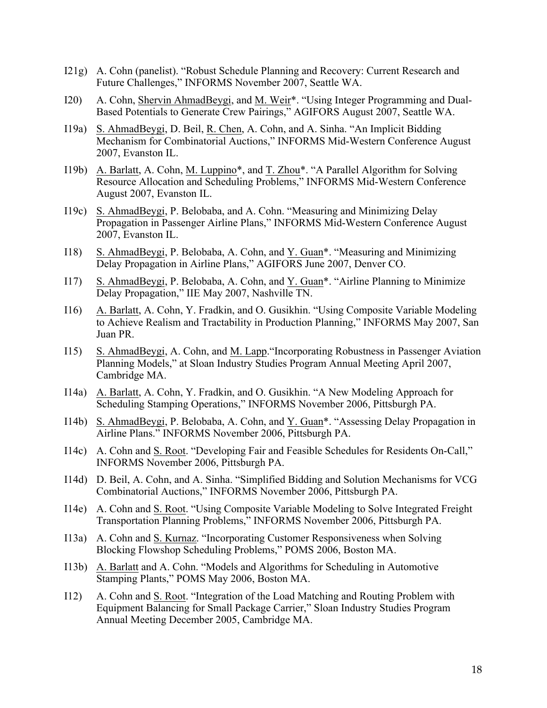- I21g) A. Cohn (panelist). "Robust Schedule Planning and Recovery: Current Research and Future Challenges," INFORMS November 2007, Seattle WA.
- I20) A. Cohn, Shervin AhmadBeygi, and M. Weir\*. "Using Integer Programming and Dual-Based Potentials to Generate Crew Pairings," AGIFORS August 2007, Seattle WA.
- I19a) S. AhmadBeygi, D. Beil, R. Chen, A. Cohn, and A. Sinha. "An Implicit Bidding Mechanism for Combinatorial Auctions," INFORMS Mid-Western Conference August 2007, Evanston IL.
- I19b) A. Barlatt, A. Cohn, M. Luppino<sup>\*</sup>, and <u>T. Zhou</u><sup>\*</sup>. "A Parallel Algorithm for Solving Resource Allocation and Scheduling Problems," INFORMS Mid-Western Conference August 2007, Evanston IL.
- I19c) S. AhmadBeygi, P. Belobaba, and A. Cohn. "Measuring and Minimizing Delay Propagation in Passenger Airline Plans," INFORMS Mid-Western Conference August 2007, Evanston IL.
- I18) S. AhmadBeygi, P. Belobaba, A. Cohn, and Y. Guan\*. "Measuring and Minimizing Delay Propagation in Airline Plans," AGIFORS June 2007, Denver CO.
- I17) S. AhmadBeygi, P. Belobaba, A. Cohn, and Y. Guan\*. "Airline Planning to Minimize Delay Propagation," IIE May 2007, Nashville TN.
- I16) A. Barlatt, A. Cohn, Y. Fradkin, and O. Gusikhin. "Using Composite Variable Modeling to Achieve Realism and Tractability in Production Planning," INFORMS May 2007, San Juan PR.
- I15) S. AhmadBeygi, A. Cohn, and M. Lapp."Incorporating Robustness in Passenger Aviation Planning Models," at Sloan Industry Studies Program Annual Meeting April 2007, Cambridge MA.
- I14a) A. Barlatt, A. Cohn, Y. Fradkin, and O. Gusikhin. "A New Modeling Approach for Scheduling Stamping Operations," INFORMS November 2006, Pittsburgh PA.
- I14b) S. AhmadBeygi, P. Belobaba, A. Cohn, and Y. Guan\*. "Assessing Delay Propagation in Airline Plans." INFORMS November 2006, Pittsburgh PA.
- I14c) A. Cohn and S. Root. "Developing Fair and Feasible Schedules for Residents On-Call," INFORMS November 2006, Pittsburgh PA.
- I14d) D. Beil, A. Cohn, and A. Sinha. "Simplified Bidding and Solution Mechanisms for VCG Combinatorial Auctions," INFORMS November 2006, Pittsburgh PA.
- I14e) A. Cohn and S. Root. "Using Composite Variable Modeling to Solve Integrated Freight Transportation Planning Problems," INFORMS November 2006, Pittsburgh PA.
- I13a) A. Cohn and S. Kurnaz. "Incorporating Customer Responsiveness when Solving Blocking Flowshop Scheduling Problems," POMS 2006, Boston MA.
- I13b) A. Barlatt and A. Cohn. "Models and Algorithms for Scheduling in Automotive Stamping Plants," POMS May 2006, Boston MA.
- I12) A. Cohn and S. Root. "Integration of the Load Matching and Routing Problem with Equipment Balancing for Small Package Carrier," Sloan Industry Studies Program Annual Meeting December 2005, Cambridge MA.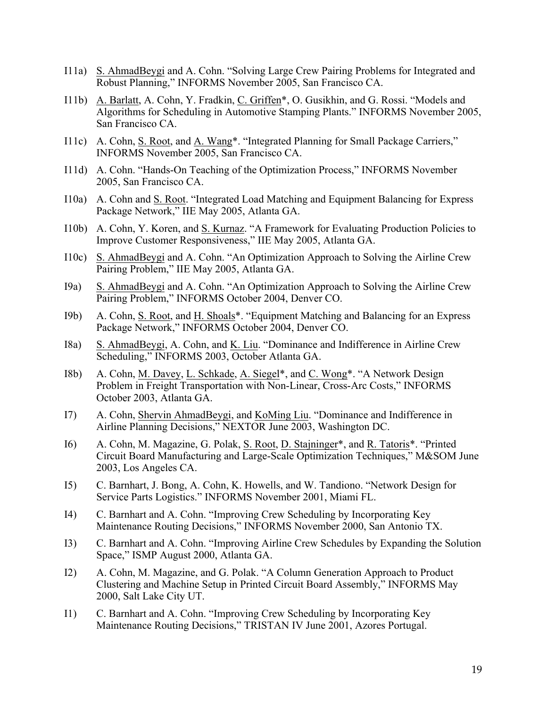- I11a) S. AhmadBeygi and A. Cohn. "Solving Large Crew Pairing Problems for Integrated and Robust Planning," INFORMS November 2005, San Francisco CA.
- I11b) A. Barlatt, A. Cohn, Y. Fradkin, C. Griffen\*, O. Gusikhin, and G. Rossi. "Models and Algorithms for Scheduling in Automotive Stamping Plants." INFORMS November 2005, San Francisco CA.
- I11c) A. Cohn, S. Root, and A. Wang\*. "Integrated Planning for Small Package Carriers," INFORMS November 2005, San Francisco CA.
- I11d) A. Cohn. "Hands-On Teaching of the Optimization Process," INFORMS November 2005, San Francisco CA.
- I10a) A. Cohn and S. Root. "Integrated Load Matching and Equipment Balancing for Express Package Network," IIE May 2005, Atlanta GA.
- I10b) A. Cohn, Y. Koren, and S. Kurnaz. "A Framework for Evaluating Production Policies to Improve Customer Responsiveness," IIE May 2005, Atlanta GA.
- I10c) S. AhmadBeygi and A. Cohn. "An Optimization Approach to Solving the Airline Crew Pairing Problem," IIE May 2005, Atlanta GA.
- I9a) S. AhmadBeygi and A. Cohn. "An Optimization Approach to Solving the Airline Crew Pairing Problem," INFORMS October 2004, Denver CO.
- I9b) A. Cohn, S. Root, and H. Shoals\*. "Equipment Matching and Balancing for an Express Package Network," INFORMS October 2004, Denver CO.
- I8a) S. AhmadBeygi, A. Cohn, and K. Liu. "Dominance and Indifference in Airline Crew Scheduling," INFORMS 2003, October Atlanta GA.
- I8b) A. Cohn, M. Davey, L. Schkade, A. Siegel\*, and C. Wong\*. "A Network Design Problem in Freight Transportation with Non-Linear, Cross-Arc Costs," INFORMS October 2003, Atlanta GA.
- I7) A. Cohn, Shervin AhmadBeygi, and KoMing Liu. "Dominance and Indifference in Airline Planning Decisions," NEXTOR June 2003, Washington DC.
- I6) A. Cohn, M. Magazine, G. Polak, S. Root, D. Stajninger\*, and R. Tatoris\*. "Printed Circuit Board Manufacturing and Large-Scale Optimization Techniques," M&SOM June 2003, Los Angeles CA.
- I5) C. Barnhart, J. Bong, A. Cohn, K. Howells, and W. Tandiono. "Network Design for Service Parts Logistics." INFORMS November 2001, Miami FL.
- I4) C. Barnhart and A. Cohn. "Improving Crew Scheduling by Incorporating Key Maintenance Routing Decisions," INFORMS November 2000, San Antonio TX.
- I3) C. Barnhart and A. Cohn. "Improving Airline Crew Schedules by Expanding the Solution Space," ISMP August 2000, Atlanta GA.
- I2) A. Cohn, M. Magazine, and G. Polak. "A Column Generation Approach to Product Clustering and Machine Setup in Printed Circuit Board Assembly," INFORMS May 2000, Salt Lake City UT.
- I1) C. Barnhart and A. Cohn. "Improving Crew Scheduling by Incorporating Key Maintenance Routing Decisions," TRISTAN IV June 2001, Azores Portugal.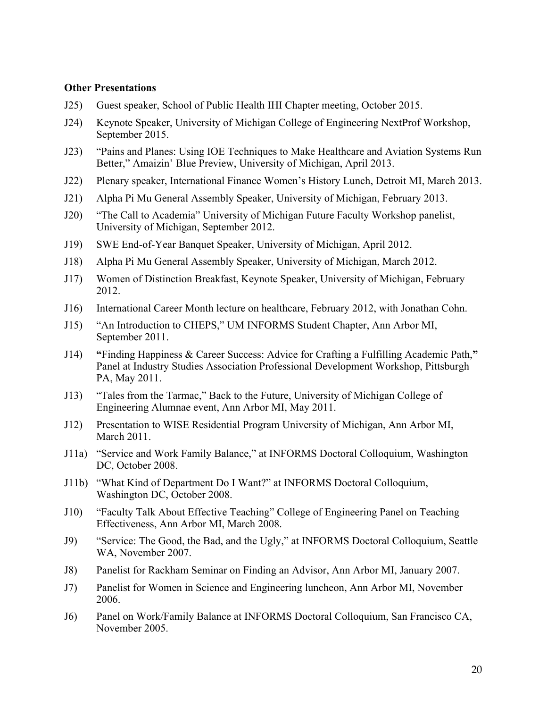#### **Other Presentations**

- J25) Guest speaker, School of Public Health IHI Chapter meeting, October 2015.
- J24) Keynote Speaker, University of Michigan College of Engineering NextProf Workshop, September 2015.
- J23) "Pains and Planes: Using IOE Techniques to Make Healthcare and Aviation Systems Run Better," Amaizin' Blue Preview, University of Michigan, April 2013.
- J22) Plenary speaker, International Finance Women's History Lunch, Detroit MI, March 2013.
- J21) Alpha Pi Mu General Assembly Speaker, University of Michigan, February 2013.
- J20) "The Call to Academia" University of Michigan Future Faculty Workshop panelist, University of Michigan, September 2012.
- J19) SWE End-of-Year Banquet Speaker, University of Michigan, April 2012.
- J18) Alpha Pi Mu General Assembly Speaker, University of Michigan, March 2012.
- J17) Women of Distinction Breakfast, Keynote Speaker, University of Michigan, February 2012.
- J16) International Career Month lecture on healthcare, February 2012, with Jonathan Cohn.
- J15) "An Introduction to CHEPS," UM INFORMS Student Chapter, Ann Arbor MI, September 2011.
- J14) **"**Finding Happiness & Career Success: Advice for Crafting a Fulfilling Academic Path,**"** Panel at Industry Studies Association Professional Development Workshop, Pittsburgh PA, May 2011.
- J13) "Tales from the Tarmac," Back to the Future, University of Michigan College of Engineering Alumnae event, Ann Arbor MI, May 2011.
- J12) Presentation to WISE Residential Program University of Michigan, Ann Arbor MI, March 2011.
- J11a) "Service and Work Family Balance," at INFORMS Doctoral Colloquium, Washington DC, October 2008.
- J11b) "What Kind of Department Do I Want?" at INFORMS Doctoral Colloquium, Washington DC, October 2008.
- J10) "Faculty Talk About Effective Teaching" College of Engineering Panel on Teaching Effectiveness, Ann Arbor MI, March 2008.
- J9) "Service: The Good, the Bad, and the Ugly," at INFORMS Doctoral Colloquium, Seattle WA, November 2007.
- J8) Panelist for Rackham Seminar on Finding an Advisor, Ann Arbor MI, January 2007.
- J7) Panelist for Women in Science and Engineering luncheon, Ann Arbor MI, November 2006.
- J6) Panel on Work/Family Balance at INFORMS Doctoral Colloquium, San Francisco CA, November 2005.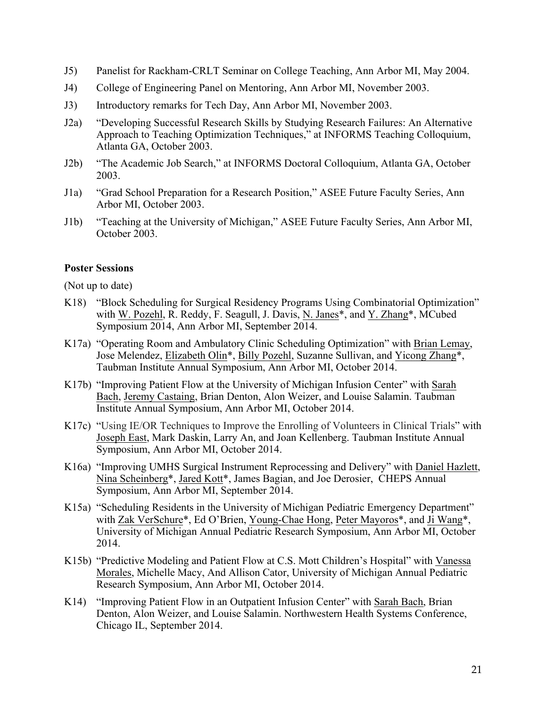- J5) Panelist for Rackham-CRLT Seminar on College Teaching, Ann Arbor MI, May 2004.
- J4) College of Engineering Panel on Mentoring, Ann Arbor MI, November 2003.
- J3) Introductory remarks for Tech Day, Ann Arbor MI, November 2003.
- J2a) "Developing Successful Research Skills by Studying Research Failures: An Alternative Approach to Teaching Optimization Techniques," at INFORMS Teaching Colloquium, Atlanta GA, October 2003.
- J2b) "The Academic Job Search," at INFORMS Doctoral Colloquium, Atlanta GA, October 2003.
- J1a) "Grad School Preparation for a Research Position," ASEE Future Faculty Series, Ann Arbor MI, October 2003.
- J1b) "Teaching at the University of Michigan," ASEE Future Faculty Series, Ann Arbor MI, October 2003.

### **Poster Sessions**

(Not up to date)

- K18) "Block Scheduling for Surgical Residency Programs Using Combinatorial Optimization" with W. Pozehl, R. Reddy, F. Seagull, J. Davis, N. Janes\*, and Y. Zhang\*, MCubed Symposium 2014, Ann Arbor MI, September 2014.
- K17a) "Operating Room and Ambulatory Clinic Scheduling Optimization" with Brian Lemay, Jose Melendez, Elizabeth Olin\*, Billy Pozehl, Suzanne Sullivan, and Yicong Zhang\*, Taubman Institute Annual Symposium, Ann Arbor MI, October 2014.
- K17b) "Improving Patient Flow at the University of Michigan Infusion Center" with Sarah Bach, Jeremy Castaing, Brian Denton, Alon Weizer, and Louise Salamin. Taubman Institute Annual Symposium, Ann Arbor MI, October 2014.
- K17c) "Using IE/OR Techniques to Improve the Enrolling of Volunteers in Clinical Trials" with Joseph East, Mark Daskin, Larry An, and Joan Kellenberg. Taubman Institute Annual Symposium, Ann Arbor MI, October 2014.
- K16a) "Improving UMHS Surgical Instrument Reprocessing and Delivery" with Daniel Hazlett, Nina Scheinberg\*, Jared Kott\*, James Bagian, and Joe Derosier, CHEPS Annual Symposium, Ann Arbor MI, September 2014.
- K15a) "Scheduling Residents in the University of Michigan Pediatric Emergency Department" with Zak VerSchure\*, Ed O'Brien, Young-Chae Hong, Peter Mayoros\*, and Ji Wang\*, University of Michigan Annual Pediatric Research Symposium, Ann Arbor MI, October 2014.
- K15b) "Predictive Modeling and Patient Flow at C.S. Mott Children's Hospital" with Vanessa Morales, Michelle Macy, And Allison Cator, University of Michigan Annual Pediatric Research Symposium, Ann Arbor MI, October 2014.
- K14) "Improving Patient Flow in an Outpatient Infusion Center" with Sarah Bach, Brian Denton, Alon Weizer, and Louise Salamin. Northwestern Health Systems Conference, Chicago IL, September 2014.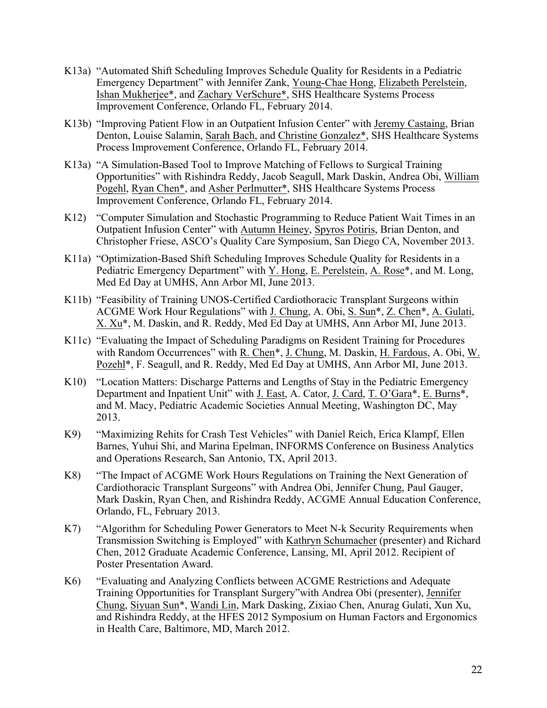- K13a) "Automated Shift Scheduling Improves Schedule Quality for Residents in a Pediatric Emergency Department" with Jennifer Zank, Young-Chae Hong, Elizabeth Perelstein, Ishan Mukherjee\*, and Zachary VerSchure\*, SHS Healthcare Systems Process Improvement Conference, Orlando FL, February 2014.
- K13b) "Improving Patient Flow in an Outpatient Infusion Center" with Jeremy Castaing, Brian Denton, Louise Salamin, Sarah Bach, and Christine Gonzalez\*, SHS Healthcare Systems Process Improvement Conference, Orlando FL, February 2014.
- K13a) "A Simulation-Based Tool to Improve Matching of Fellows to Surgical Training Opportunities" with Rishindra Reddy, Jacob Seagull, Mark Daskin, Andrea Obi, William Pogehl, Ryan Chen\*, and Asher Perlmutter\*, SHS Healthcare Systems Process Improvement Conference, Orlando FL, February 2014.
- K12) "Computer Simulation and Stochastic Programming to Reduce Patient Wait Times in an Outpatient Infusion Center" with Autumn Heiney, Spyros Potiris, Brian Denton, and Christopher Friese, ASCO's Quality Care Symposium, San Diego CA, November 2013.
- K11a) "Optimization-Based Shift Scheduling Improves Schedule Quality for Residents in a Pediatric Emergency Department" with Y. Hong, E. Perelstein, A. Rose\*, and M. Long, Med Ed Day at UMHS, Ann Arbor MI, June 2013.
- K11b) "Feasibility of Training UNOS-Certified Cardiothoracic Transplant Surgeons within ACGME Work Hour Regulations" with J. Chung, A. Obi, S. Sun\*, Z. Chen\*, A. Gulati, X. Xu\*, M. Daskin, and R. Reddy, Med Ed Day at UMHS, Ann Arbor MI, June 2013.
- K11c) "Evaluating the Impact of Scheduling Paradigms on Resident Training for Procedures with Random Occurrences" with R. Chen\*, J. Chung, M. Daskin, H. Fardous, A. Obi, W. Pozehl\*, F. Seagull, and R. Reddy, Med Ed Day at UMHS, Ann Arbor MI, June 2013.
- K10) "Location Matters: Discharge Patterns and Lengths of Stay in the Pediatric Emergency Department and Inpatient Unit" with J. East, A. Cator, J. Card, T. O'Gara\*, E. Burns\*, and M. Macy, Pediatric Academic Societies Annual Meeting, Washington DC, May 2013.
- K9) "Maximizing Rehits for Crash Test Vehicles" with Daniel Reich, Erica Klampf, Ellen Barnes, Yuhui Shi, and Marina Epelman, INFORMS Conference on Business Analytics and Operations Research, San Antonio, TX, April 2013.
- K8) "The Impact of ACGME Work Hours Regulations on Training the Next Generation of Cardiothoracic Transplant Surgeons" with Andrea Obi, Jennifer Chung, Paul Gauger, Mark Daskin, Ryan Chen, and Rishindra Reddy, ACGME Annual Education Conference, Orlando, FL, February 2013.
- K7) "Algorithm for Scheduling Power Generators to Meet N-k Security Requirements when Transmission Switching is Employed" with Kathryn Schumacher (presenter) and Richard Chen, 2012 Graduate Academic Conference, Lansing, MI, April 2012. Recipient of Poster Presentation Award.
- K6) "Evaluating and Analyzing Conflicts between ACGME Restrictions and Adequate Training Opportunities for Transplant Surgery"with Andrea Obi (presenter), Jennifer Chung, Siyuan Sun\*, Wandi Lin, Mark Dasking, Zixiao Chen, Anurag Gulati, Xun Xu, and Rishindra Reddy, at the HFES 2012 Symposium on Human Factors and Ergonomics in Health Care, Baltimore, MD, March 2012.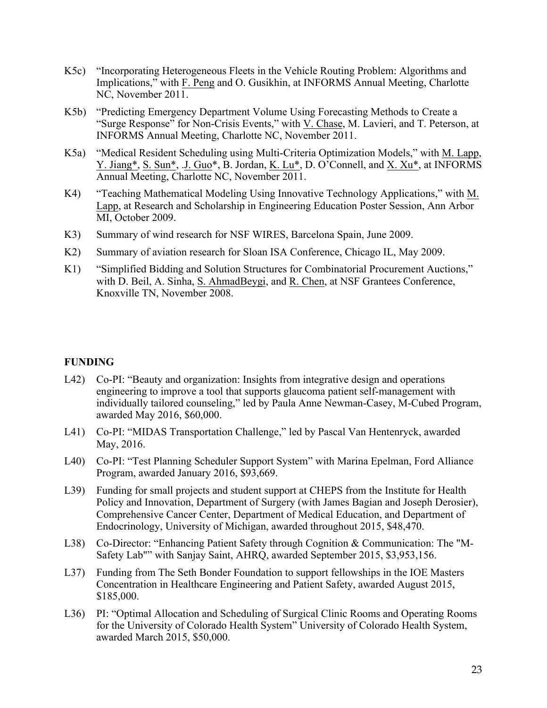- K5c) "Incorporating Heterogeneous Fleets in the Vehicle Routing Problem: Algorithms and Implications," with F. Peng and O. Gusikhin, at INFORMS Annual Meeting, Charlotte NC, November 2011.
- K5b) "Predicting Emergency Department Volume Using Forecasting Methods to Create a "Surge Response" for Non-Crisis Events," with V. Chase, M. Lavieri, and T. Peterson, at INFORMS Annual Meeting, Charlotte NC, November 2011.
- K5a) "Medical Resident Scheduling using Multi-Criteria Optimization Models," with M. Lapp, Y. Jiang\*, S. Sun\*, J. Guo\*, B. Jordan, K. Lu\*, D. O'Connell, and X. Xu\*, at INFORMS Annual Meeting, Charlotte NC, November 2011.
- K4) "Teaching Mathematical Modeling Using Innovative Technology Applications," with M. Lapp, at Research and Scholarship in Engineering Education Poster Session, Ann Arbor MI, October 2009.
- K3) Summary of wind research for NSF WIRES, Barcelona Spain, June 2009.
- K2) Summary of aviation research for Sloan ISA Conference, Chicago IL, May 2009.
- K1) "Simplified Bidding and Solution Structures for Combinatorial Procurement Auctions," with D. Beil, A. Sinha, S. AhmadBeygi, and R. Chen, at NSF Grantees Conference, Knoxville TN, November 2008.

### **FUNDING**

- L42) Co-PI: "Beauty and organization: Insights from integrative design and operations engineering to improve a tool that supports glaucoma patient self-management with individually tailored counseling," led by Paula Anne Newman-Casey, M-Cubed Program, awarded May 2016, \$60,000.
- L41) Co-PI: "MIDAS Transportation Challenge," led by Pascal Van Hentenryck, awarded May, 2016.
- L40) Co-PI: "Test Planning Scheduler Support System" with Marina Epelman, Ford Alliance Program, awarded January 2016, \$93,669.
- L39) Funding for small projects and student support at CHEPS from the Institute for Health Policy and Innovation, Department of Surgery (with James Bagian and Joseph Derosier), Comprehensive Cancer Center, Department of Medical Education, and Department of Endocrinology, University of Michigan, awarded throughout 2015, \$48,470.
- L38) Co-Director: "Enhancing Patient Safety through Cognition & Communication: The "M-Safety Lab"" with Sanjay Saint, AHRQ, awarded September 2015, \$3,953,156.
- L37) Funding from The Seth Bonder Foundation to support fellowships in the IOE Masters Concentration in Healthcare Engineering and Patient Safety, awarded August 2015, \$185,000.
- L36) PI: "Optimal Allocation and Scheduling of Surgical Clinic Rooms and Operating Rooms for the University of Colorado Health System" University of Colorado Health System, awarded March 2015, \$50,000.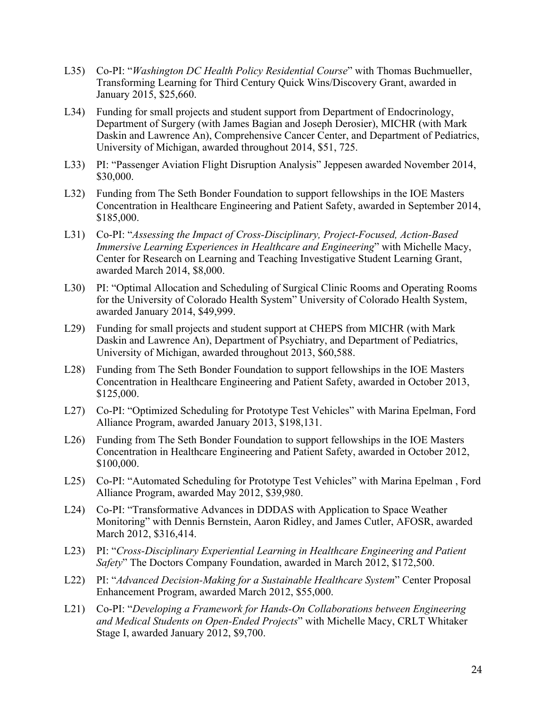- L35) Co-PI: "*Washington DC Health Policy Residential Course*" with Thomas Buchmueller, Transforming Learning for Third Century Quick Wins/Discovery Grant, awarded in January 2015, \$25,660.
- L34) Funding for small projects and student support from Department of Endocrinology, Department of Surgery (with James Bagian and Joseph Derosier), MICHR (with Mark Daskin and Lawrence An), Comprehensive Cancer Center, and Department of Pediatrics, University of Michigan, awarded throughout 2014, \$51, 725.
- L33) PI: "Passenger Aviation Flight Disruption Analysis" Jeppesen awarded November 2014, \$30,000.
- L32) Funding from The Seth Bonder Foundation to support fellowships in the IOE Masters Concentration in Healthcare Engineering and Patient Safety, awarded in September 2014, \$185,000.
- L31) Co-PI: "*Assessing the Impact of Cross-Disciplinary, Project-Focused, Action-Based Immersive Learning Experiences in Healthcare and Engineering*" with Michelle Macy, Center for Research on Learning and Teaching Investigative Student Learning Grant, awarded March 2014, \$8,000.
- L30) PI: "Optimal Allocation and Scheduling of Surgical Clinic Rooms and Operating Rooms for the University of Colorado Health System" University of Colorado Health System, awarded January 2014, \$49,999.
- L29) Funding for small projects and student support at CHEPS from MICHR (with Mark Daskin and Lawrence An), Department of Psychiatry, and Department of Pediatrics, University of Michigan, awarded throughout 2013, \$60,588.
- L28) Funding from The Seth Bonder Foundation to support fellowships in the IOE Masters Concentration in Healthcare Engineering and Patient Safety, awarded in October 2013, \$125,000.
- L27) Co-PI: "Optimized Scheduling for Prototype Test Vehicles" with Marina Epelman, Ford Alliance Program, awarded January 2013, \$198,131.
- L26) Funding from The Seth Bonder Foundation to support fellowships in the IOE Masters Concentration in Healthcare Engineering and Patient Safety, awarded in October 2012, \$100,000.
- L25) Co-PI: "Automated Scheduling for Prototype Test Vehicles" with Marina Epelman , Ford Alliance Program, awarded May 2012, \$39,980.
- L24) Co-PI: "Transformative Advances in DDDAS with Application to Space Weather Monitoring" with Dennis Bernstein, Aaron Ridley, and James Cutler, AFOSR, awarded March 2012, \$316,414.
- L23) PI: "*Cross-Disciplinary Experiential Learning in Healthcare Engineering and Patient Safety*" The Doctors Company Foundation, awarded in March 2012, \$172,500.
- L22) PI: "*Advanced Decision-Making for a Sustainable Healthcare System*" Center Proposal Enhancement Program, awarded March 2012, \$55,000.
- L21) Co-PI: "*Developing a Framework for Hands-On Collaborations between Engineering and Medical Students on Open-Ended Projects*" with Michelle Macy, CRLT Whitaker Stage I, awarded January 2012, \$9,700.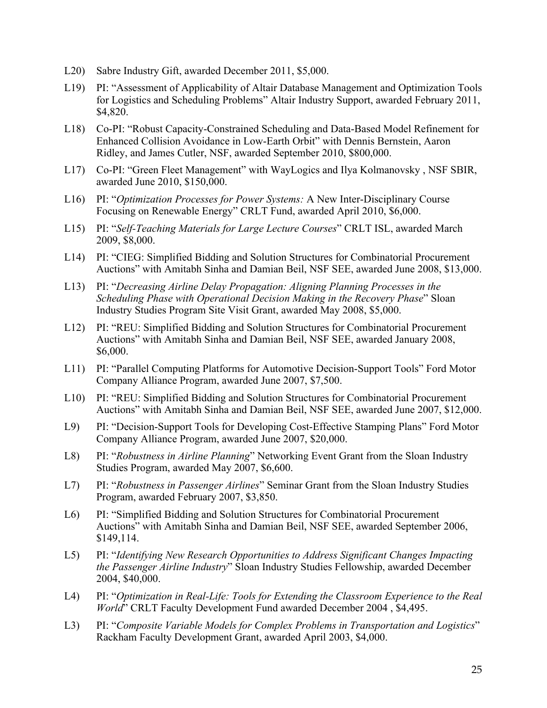- L20) Sabre Industry Gift, awarded December 2011, \$5,000.
- L19) PI: "Assessment of Applicability of Altair Database Management and Optimization Tools for Logistics and Scheduling Problems" Altair Industry Support, awarded February 2011, \$4,820.
- L18) Co-PI: "Robust Capacity-Constrained Scheduling and Data-Based Model Refinement for Enhanced Collision Avoidance in Low-Earth Orbit" with Dennis Bernstein, Aaron Ridley, and James Cutler, NSF, awarded September 2010, \$800,000.
- L17) Co-PI: "Green Fleet Management" with WayLogics and Ilya Kolmanovsky , NSF SBIR, awarded June 2010, \$150,000.
- L16) PI: "*Optimization Processes for Power Systems:* A New Inter-Disciplinary Course Focusing on Renewable Energy" CRLT Fund, awarded April 2010, \$6,000.
- L15) PI: "*Self-Teaching Materials for Large Lecture Courses*" CRLT ISL, awarded March 2009, \$8,000.
- L14) PI: "CIEG: Simplified Bidding and Solution Structures for Combinatorial Procurement Auctions" with Amitabh Sinha and Damian Beil, NSF SEE, awarded June 2008, \$13,000.
- L13) PI: "*Decreasing Airline Delay Propagation: Aligning Planning Processes in the Scheduling Phase with Operational Decision Making in the Recovery Phase*" Sloan Industry Studies Program Site Visit Grant, awarded May 2008, \$5,000.
- L12) PI: "REU: Simplified Bidding and Solution Structures for Combinatorial Procurement Auctions" with Amitabh Sinha and Damian Beil, NSF SEE, awarded January 2008, \$6,000.
- L11) PI: "Parallel Computing Platforms for Automotive Decision-Support Tools" Ford Motor Company Alliance Program, awarded June 2007, \$7,500.
- L10) PI: "REU: Simplified Bidding and Solution Structures for Combinatorial Procurement Auctions" with Amitabh Sinha and Damian Beil, NSF SEE, awarded June 2007, \$12,000.
- L9) PI: "Decision-Support Tools for Developing Cost-Effective Stamping Plans" Ford Motor Company Alliance Program, awarded June 2007, \$20,000.
- L8) PI: "*Robustness in Airline Planning*" Networking Event Grant from the Sloan Industry Studies Program, awarded May 2007, \$6,600.
- L7) PI: "*Robustness in Passenger Airlines*" Seminar Grant from the Sloan Industry Studies Program, awarded February 2007, \$3,850.
- L6) PI: "Simplified Bidding and Solution Structures for Combinatorial Procurement Auctions" with Amitabh Sinha and Damian Beil, NSF SEE, awarded September 2006, \$149,114.
- L5) PI: "*Identifying New Research Opportunities to Address Significant Changes Impacting the Passenger Airline Industry*" Sloan Industry Studies Fellowship, awarded December 2004, \$40,000.
- L4) PI: "*Optimization in Real-Life: Tools for Extending the Classroom Experience to the Real World*" CRLT Faculty Development Fund awarded December 2004 , \$4,495.
- L3) PI: "*Composite Variable Models for Complex Problems in Transportation and Logistics*" Rackham Faculty Development Grant, awarded April 2003, \$4,000.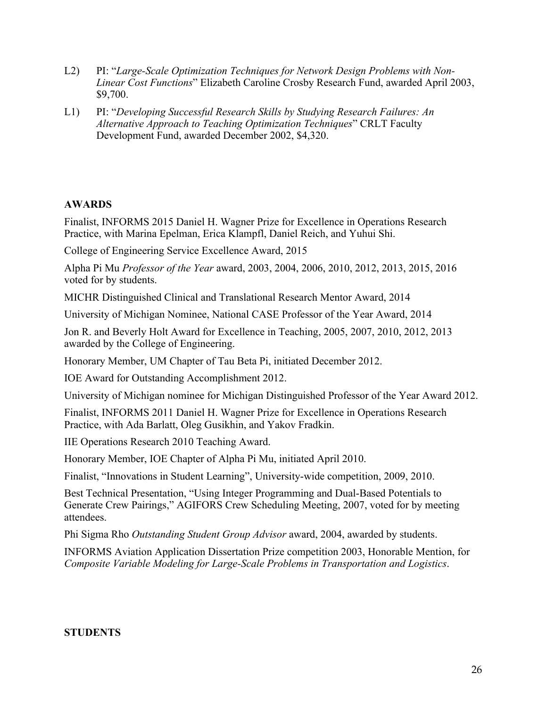- L2) PI: "*Large-Scale Optimization Techniques for Network Design Problems with Non-Linear Cost Functions*" Elizabeth Caroline Crosby Research Fund, awarded April 2003, \$9,700.
- L1) PI: "*Developing Successful Research Skills by Studying Research Failures: An Alternative Approach to Teaching Optimization Techniques*" CRLT Faculty Development Fund, awarded December 2002, \$4,320.

# **AWARDS**

Finalist, INFORMS 2015 Daniel H. Wagner Prize for Excellence in Operations Research Practice, with Marina Epelman, Erica Klampfl, Daniel Reich, and Yuhui Shi.

College of Engineering Service Excellence Award, 2015

Alpha Pi Mu *Professor of the Year* award, 2003, 2004, 2006, 2010, 2012, 2013, 2015, 2016 voted for by students.

MICHR Distinguished Clinical and Translational Research Mentor Award, 2014

University of Michigan Nominee, National CASE Professor of the Year Award, 2014

Jon R. and Beverly Holt Award for Excellence in Teaching, 2005, 2007, 2010, 2012, 2013 awarded by the College of Engineering.

Honorary Member, UM Chapter of Tau Beta Pi, initiated December 2012.

IOE Award for Outstanding Accomplishment 2012.

University of Michigan nominee for Michigan Distinguished Professor of the Year Award 2012.

Finalist, INFORMS 2011 Daniel H. Wagner Prize for Excellence in Operations Research Practice, with Ada Barlatt, Oleg Gusikhin, and Yakov Fradkin.

IIE Operations Research 2010 Teaching Award.

Honorary Member, IOE Chapter of Alpha Pi Mu, initiated April 2010.

Finalist, "Innovations in Student Learning", University-wide competition, 2009, 2010.

Best Technical Presentation, "Using Integer Programming and Dual-Based Potentials to Generate Crew Pairings," AGIFORS Crew Scheduling Meeting, 2007, voted for by meeting attendees.

Phi Sigma Rho *Outstanding Student Group Advisor* award, 2004, awarded by students.

INFORMS Aviation Application Dissertation Prize competition 2003, Honorable Mention, for *Composite Variable Modeling for Large-Scale Problems in Transportation and Logistics*.

# **STUDENTS**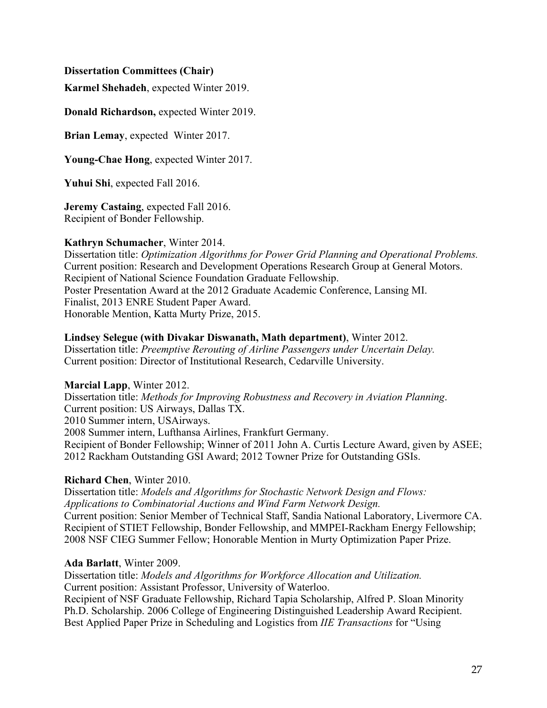#### **Dissertation Committees (Chair)**

**Karmel Shehadeh**, expected Winter 2019.

**Donald Richardson,** expected Winter 2019.

**Brian Lemay**, expected Winter 2017.

**Young-Chae Hong**, expected Winter 2017.

**Yuhui Shi**, expected Fall 2016.

**Jeremy Castaing**, expected Fall 2016. Recipient of Bonder Fellowship.

#### **Kathryn Schumacher**, Winter 2014.

Dissertation title: *Optimization Algorithms for Power Grid Planning and Operational Problems.* Current position: Research and Development Operations Research Group at General Motors. Recipient of National Science Foundation Graduate Fellowship. Poster Presentation Award at the 2012 Graduate Academic Conference, Lansing MI. Finalist, 2013 ENRE Student Paper Award. Honorable Mention, Katta Murty Prize, 2015.

### **Lindsey Selegue (with Divakar Diswanath, Math department)**, Winter 2012.

Dissertation title: *Preemptive Rerouting of Airline Passengers under Uncertain Delay.* Current position: Director of Institutional Research, Cedarville University.

### **Marcial Lapp**, Winter 2012.

Dissertation title: *Methods for Improving Robustness and Recovery in Aviation Planning*. Current position: US Airways, Dallas TX. 2010 Summer intern, USAirways. 2008 Summer intern, Lufthansa Airlines, Frankfurt Germany. Recipient of Bonder Fellowship; Winner of 2011 John A. Curtis Lecture Award, given by ASEE; 2012 Rackham Outstanding GSI Award; 2012 Towner Prize for Outstanding GSIs.

### **Richard Chen**, Winter 2010.

Dissertation title: *Models and Algorithms for Stochastic Network Design and Flows: Applications to Combinatorial Auctions and Wind Farm Network Design.* Current position: Senior Member of Technical Staff, Sandia National Laboratory, Livermore CA. Recipient of STIET Fellowship, Bonder Fellowship, and MMPEI-Rackham Energy Fellowship; 2008 NSF CIEG Summer Fellow; Honorable Mention in Murty Optimization Paper Prize.

### **Ada Barlatt**, Winter 2009.

Dissertation title: *Models and Algorithms for Workforce Allocation and Utilization.* Current position: Assistant Professor, University of Waterloo. Recipient of NSF Graduate Fellowship, Richard Tapia Scholarship, Alfred P. Sloan Minority Ph.D. Scholarship. 2006 College of Engineering Distinguished Leadership Award Recipient. Best Applied Paper Prize in Scheduling and Logistics from *IIE Transactions* for "Using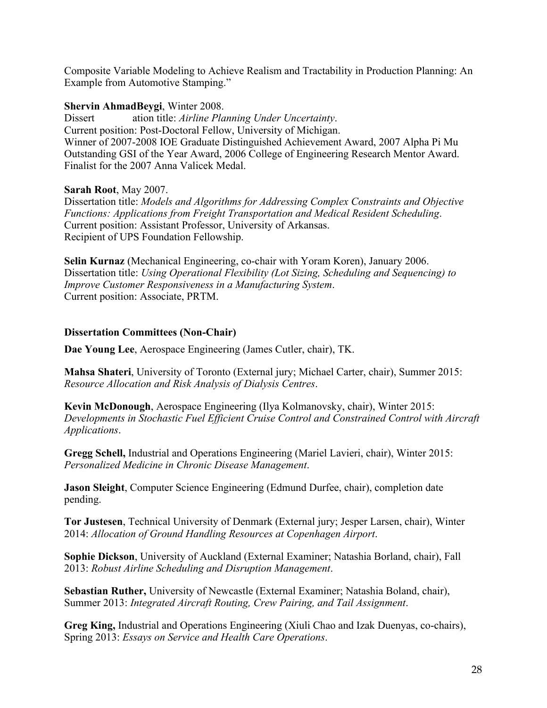Composite Variable Modeling to Achieve Realism and Tractability in Production Planning: An Example from Automotive Stamping."

#### **Shervin AhmadBeygi**, Winter 2008.

Dissert ation title: *Airline Planning Under Uncertainty*. Current position: Post-Doctoral Fellow, University of Michigan. Winner of 2007-2008 IOE Graduate Distinguished Achievement Award, 2007 Alpha Pi Mu Outstanding GSI of the Year Award, 2006 College of Engineering Research Mentor Award. Finalist for the 2007 Anna Valicek Medal.

#### **Sarah Root**, May 2007.

Dissertation title: *Models and Algorithms for Addressing Complex Constraints and Objective Functions: Applications from Freight Transportation and Medical Resident Scheduling*. Current position: Assistant Professor, University of Arkansas. Recipient of UPS Foundation Fellowship.

**Selin Kurnaz** (Mechanical Engineering, co-chair with Yoram Koren), January 2006. Dissertation title: *Using Operational Flexibility (Lot Sizing, Scheduling and Sequencing) to Improve Customer Responsiveness in a Manufacturing System*. Current position: Associate, PRTM.

### **Dissertation Committees (Non-Chair)**

**Dae Young Lee**, Aerospace Engineering (James Cutler, chair), TK.

**Mahsa Shateri**, University of Toronto (External jury; Michael Carter, chair), Summer 2015: *Resource Allocation and Risk Analysis of Dialysis Centres*.

**Kevin McDonough**, Aerospace Engineering (Ilya Kolmanovsky, chair), Winter 2015: *Developments in Stochastic Fuel Efficient Cruise Control and Constrained Control with Aircraft Applications*.

**Gregg Schell,** Industrial and Operations Engineering (Mariel Lavieri, chair), Winter 2015: *Personalized Medicine in Chronic Disease Management*.

**Jason Sleight**, Computer Science Engineering (Edmund Durfee, chair), completion date pending.

**Tor Justesen**, Technical University of Denmark (External jury; Jesper Larsen, chair), Winter 2014: *Allocation of Ground Handling Resources at Copenhagen Airport*.

**Sophie Dickson**, University of Auckland (External Examiner; Natashia Borland, chair), Fall 2013: *Robust Airline Scheduling and Disruption Management*.

**Sebastian Ruther,** University of Newcastle (External Examiner; Natashia Boland, chair), Summer 2013: *Integrated Aircraft Routing, Crew Pairing, and Tail Assignment*.

**Greg King,** Industrial and Operations Engineering (Xiuli Chao and Izak Duenyas, co-chairs), Spring 2013: *Essays on Service and Health Care Operations*.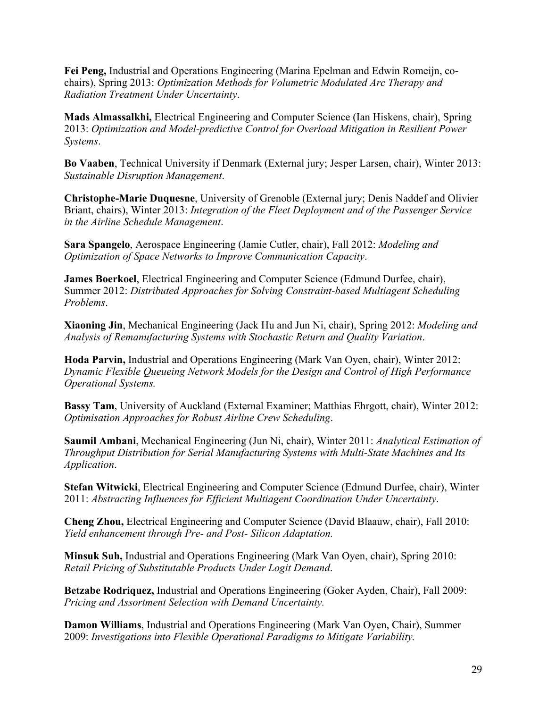**Fei Peng,** Industrial and Operations Engineering (Marina Epelman and Edwin Romeijn, cochairs), Spring 2013: *Optimization Methods for Volumetric Modulated Arc Therapy and Radiation Treatment Under Uncertainty*.

**Mads Almassalkhi,** Electrical Engineering and Computer Science (Ian Hiskens, chair), Spring 2013: *Optimization and Model-predictive Control for Overload Mitigation in Resilient Power Systems*.

**Bo Vaaben**, Technical University if Denmark (External jury; Jesper Larsen, chair), Winter 2013: *Sustainable Disruption Management*.

**Christophe-Marie Duquesne**, University of Grenoble (External jury; Denis Naddef and Olivier Briant, chairs), Winter 2013: *Integration of the Fleet Deployment and of the Passenger Service in the Airline Schedule Management*.

**Sara Spangelo**, Aerospace Engineering (Jamie Cutler, chair), Fall 2012: *Modeling and Optimization of Space Networks to Improve Communication Capacity*.

**James Boerkoel**, Electrical Engineering and Computer Science (Edmund Durfee, chair), Summer 2012: *Distributed Approaches for Solving Constraint-based Multiagent Scheduling Problems*.

**Xiaoning Jin**, Mechanical Engineering (Jack Hu and Jun Ni, chair), Spring 2012: *Modeling and Analysis of Remanufacturing Systems with Stochastic Return and Quality Variation*.

**Hoda Parvin,** Industrial and Operations Engineering (Mark Van Oyen, chair), Winter 2012: *Dynamic Flexible Queueing Network Models for the Design and Control of High Performance Operational Systems.*

**Bassy Tam**, University of Auckland (External Examiner; Matthias Ehrgott, chair), Winter 2012: *Optimisation Approaches for Robust Airline Crew Scheduling*.

**Saumil Ambani**, Mechanical Engineering (Jun Ni, chair), Winter 2011: *Analytical Estimation of Throughput Distribution for Serial Manufacturing Systems with Multi-State Machines and Its Application*.

**Stefan Witwicki**, Electrical Engineering and Computer Science (Edmund Durfee, chair), Winter 2011: *Abstracting Influences for Efficient Multiagent Coordination Under Uncertainty*.

**Cheng Zhou,** Electrical Engineering and Computer Science (David Blaauw, chair), Fall 2010: *Yield enhancement through Pre- and Post- Silicon Adaptation.*

**Minsuk Suh,** Industrial and Operations Engineering (Mark Van Oyen, chair), Spring 2010: *Retail Pricing of Substitutable Products Under Logit Demand*.

**Betzabe Rodriquez,** Industrial and Operations Engineering (Goker Ayden, Chair), Fall 2009: *Pricing and Assortment Selection with Demand Uncertainty.*

**Damon Williams**, Industrial and Operations Engineering (Mark Van Oyen, Chair), Summer 2009: *Investigations into Flexible Operational Paradigms to Mitigate Variability.*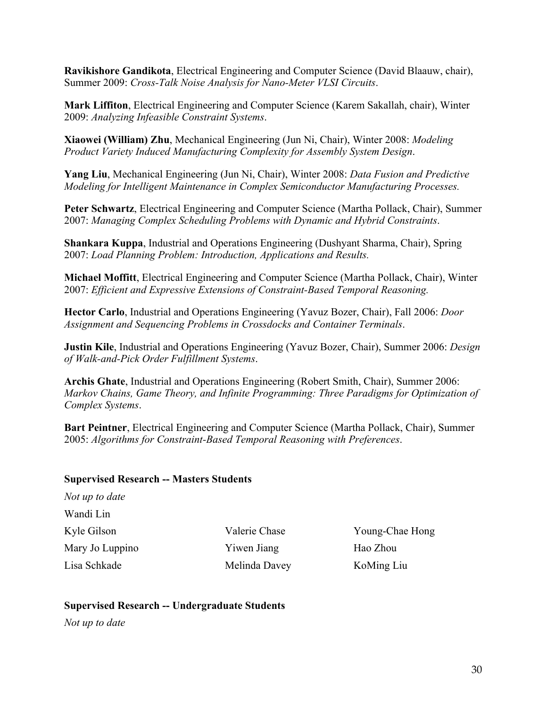**Ravikishore Gandikota**, Electrical Engineering and Computer Science (David Blaauw, chair), Summer 2009: *Cross-Talk Noise Analysis for Nano-Meter VLSI Circuits*.

**Mark Liffiton**, Electrical Engineering and Computer Science (Karem Sakallah, chair), Winter 2009: *Analyzing Infeasible Constraint Systems*.

**Xiaowei (William) Zhu**, Mechanical Engineering (Jun Ni, Chair), Winter 2008: *Modeling Product Variety Induced Manufacturing Complexity for Assembly System Design*.

**Yang Liu**, Mechanical Engineering (Jun Ni, Chair), Winter 2008: *Data Fusion and Predictive Modeling for Intelligent Maintenance in Complex Semiconductor Manufacturing Processes.*

**Peter Schwartz**, Electrical Engineering and Computer Science (Martha Pollack, Chair), Summer 2007: *Managing Complex Scheduling Problems with Dynamic and Hybrid Constraints*.

**Shankara Kuppa**, Industrial and Operations Engineering (Dushyant Sharma, Chair), Spring 2007: *Load Planning Problem: Introduction, Applications and Results.*

**Michael Moffitt**, Electrical Engineering and Computer Science (Martha Pollack, Chair), Winter 2007: *Efficient and Expressive Extensions of Constraint-Based Temporal Reasoning.*

**Hector Carlo**, Industrial and Operations Engineering (Yavuz Bozer, Chair), Fall 2006: *Door Assignment and Sequencing Problems in Crossdocks and Container Terminals*.

**Justin Kile**, Industrial and Operations Engineering (Yavuz Bozer, Chair), Summer 2006: *Design of Walk-and-Pick Order Fulfillment Systems*.

**Archis Ghate**, Industrial and Operations Engineering (Robert Smith, Chair), Summer 2006: *Markov Chains, Game Theory, and Infinite Programming: Three Paradigms for Optimization of Complex Systems*.

**Bart Peintner**, Electrical Engineering and Computer Science (Martha Pollack, Chair), Summer 2005: *Algorithms for Constraint-Based Temporal Reasoning with Preferences*.

### **Supervised Research -- Masters Students**

| Not up to date  |
|-----------------|
| Wandi Lin       |
| Kyle Gilson     |
| Mary Jo Luppino |
| Lisa Schkade    |

Yiwen Jiang Hao Zhou Melinda Davey KoMing Liu

Valerie Chase Young-Chae Hong

# **Supervised Research -- Undergraduate Students**

*Not up to date*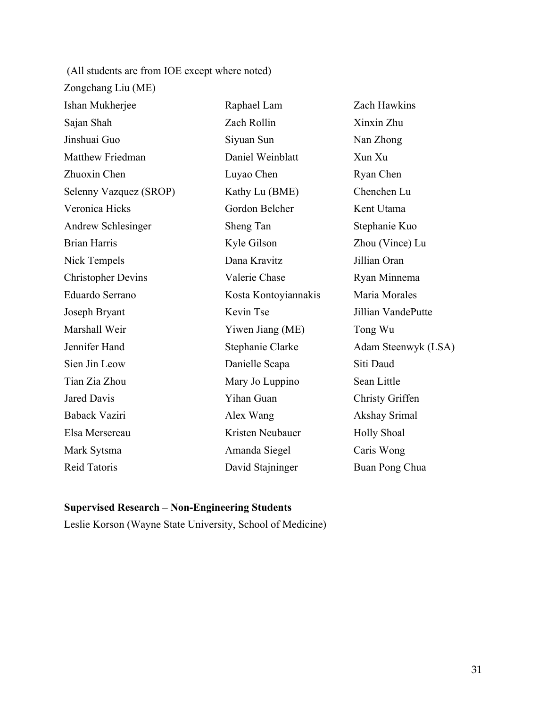(All students are from IOE except where noted) Zongchang Liu (ME) Ishan Mukherjee Raphael Lam Zach Hawkins Sajan Shah Zach Rollin Xinxin Zhu Jinshuai Guo Siyuan Sun Nan Zhong Matthew Friedman **Daniel Weinblatt** Xun Xu Zhuoxin Chen Luyao Chen Ryan Chen Selenny Vazquez (SROP) Kathy Lu (BME) Chenchen Lu Veronica Hicks Gordon Belcher Kent Utama Andrew Schlesinger Sheng Tan Stephanie Kuo Brian Harris Kyle Gilson Zhou (Vince) Lu Nick Tempels Dana Kravitz Jillian Oran Christopher Devins Valerie Chase Ryan Minnema Eduardo Serrano Kosta Kontoyiannakis Maria Morales Joseph Bryant Kevin Tse Jillian VandePutte Marshall Weir Yiwen Jiang (ME) Tong Wu Jennifer Hand Stephanie Clarke Adam Steenwyk (LSA) Sien Jin Leow Danielle Scapa Siti Daud Tian Zia Zhou Mary Jo Luppino Sean Little Jared Davis **Yihan Guan** Christy Griffen Baback Vaziri Alex Wang Akshay Srimal Elsa Mersereau Kristen Neubauer Holly Shoal Mark Sytsma Amanda Siegel Caris Wong Reid Tatoris **David Stajninger** Buan Pong Chua

### **Supervised Research – Non-Engineering Students**

Leslie Korson (Wayne State University, School of Medicine)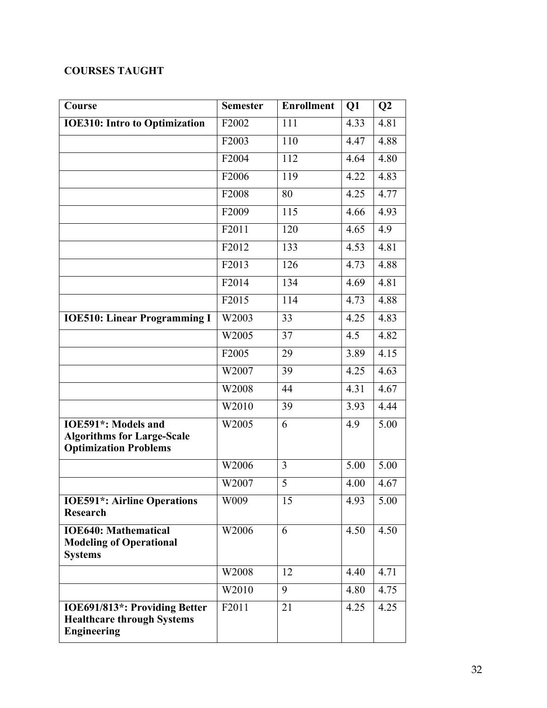# **COURSES TAUGHT**

| Course                                                                                   | <b>Semester</b>    | <b>Enrollment</b> | Q1   | Q2                |
|------------------------------------------------------------------------------------------|--------------------|-------------------|------|-------------------|
| <b>IOE310: Intro to Optimization</b>                                                     | F2002              | 111               | 4.33 | 4.81              |
|                                                                                          | F2003              | 110               | 4.47 | 4.88              |
|                                                                                          | F2004              | 112               | 4.64 | 4.80              |
|                                                                                          | F2006              | 119               | 4.22 | 4.83              |
|                                                                                          | F2008              | 80                | 4.25 | 4.77              |
|                                                                                          | F2009              | 115               | 4.66 | 4.93              |
|                                                                                          | F2011              | 120               | 4.65 | 4.9               |
|                                                                                          | F2012              | 133               | 4.53 | $\overline{4.81}$ |
|                                                                                          | F2013              | 126               | 4.73 | 4.88              |
|                                                                                          | F2014              | 134               | 4.69 | 4.81              |
|                                                                                          | F2015              | 114               | 4.73 | 4.88              |
| <b>IOE510: Linear Programming I</b>                                                      | W2003              | 33                | 4.25 | 4.83              |
|                                                                                          | W2005              | 37                | 4.5  | 4.82              |
|                                                                                          | F2005              | 29                | 3.89 | 4.15              |
|                                                                                          | W2007              | 39                | 4.25 | 4.63              |
|                                                                                          | W2008              | 44                | 4.31 | 4.67              |
|                                                                                          | W2010              | 39                | 3.93 | 4.44              |
| IOE591*: Models and<br><b>Algorithms for Large-Scale</b><br><b>Optimization Problems</b> | W2005              | 6                 | 4.9  | 5.00              |
|                                                                                          | W2006              | 3                 | 5.00 | 5.00              |
|                                                                                          | W2007              | $\overline{5}$    | 4.00 | 4.67              |
| <b>IOE591*: Airline Operations</b><br><b>Research</b>                                    | W009               | 15                | 4.93 | 5.00              |
| <b>IOE640: Mathematical</b><br><b>Modeling of Operational</b><br><b>Systems</b>          | W2006              | 6                 | 4.50 | 4.50              |
|                                                                                          | W2008              | 12                | 4.40 | 4.71              |
|                                                                                          | W2010              | 9                 | 4.80 | 4.75              |
| IOE691/813*: Providing Better<br><b>Healthcare through Systems</b><br><b>Engineering</b> | $\overline{F2011}$ | 21                | 4.25 | 4.25              |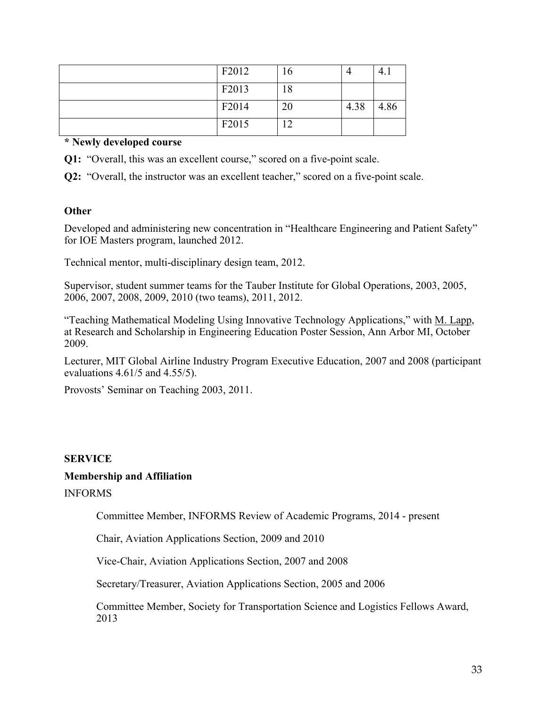| F2012 | $10^{-7}$ |      |      |
|-------|-----------|------|------|
| F2013 | 18        |      |      |
| F2014 | 20        | 4.38 | 4.86 |
| F2015 | ◠         |      |      |

### **\* Newly developed course**

**Q1:** "Overall, this was an excellent course," scored on a five-point scale.

**Q2:** "Overall, the instructor was an excellent teacher," scored on a five-point scale.

## **Other**

Developed and administering new concentration in "Healthcare Engineering and Patient Safety" for IOE Masters program, launched 2012.

Technical mentor, multi-disciplinary design team, 2012.

Supervisor, student summer teams for the Tauber Institute for Global Operations, 2003, 2005, 2006, 2007, 2008, 2009, 2010 (two teams), 2011, 2012.

"Teaching Mathematical Modeling Using Innovative Technology Applications," with M. Lapp, at Research and Scholarship in Engineering Education Poster Session, Ann Arbor MI, October 2009.

Lecturer, MIT Global Airline Industry Program Executive Education, 2007 and 2008 (participant evaluations 4.61/5 and 4.55/5).

Provosts' Seminar on Teaching 2003, 2011.

# **SERVICE**

### **Membership and Affiliation**

INFORMS

Committee Member, INFORMS Review of Academic Programs, 2014 - present

Chair, Aviation Applications Section, 2009 and 2010

Vice-Chair, Aviation Applications Section, 2007 and 2008

Secretary/Treasurer, Aviation Applications Section, 2005 and 2006

Committee Member, Society for Transportation Science and Logistics Fellows Award, 2013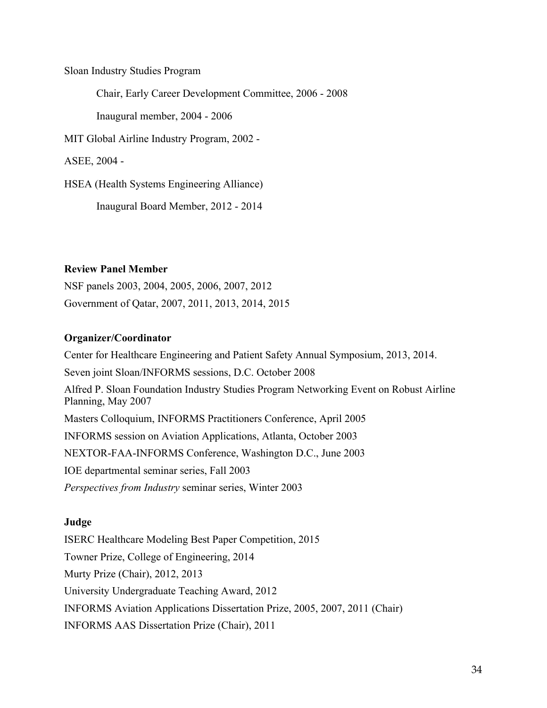Sloan Industry Studies Program

Chair, Early Career Development Committee, 2006 - 2008

Inaugural member, 2004 - 2006

MIT Global Airline Industry Program, 2002 -

ASEE, 2004 -

HSEA (Health Systems Engineering Alliance)

Inaugural Board Member, 2012 - 2014

# **Review Panel Member**

NSF panels 2003, 2004, 2005, 2006, 2007, 2012 Government of Qatar, 2007, 2011, 2013, 2014, 2015

## **Organizer/Coordinator**

Center for Healthcare Engineering and Patient Safety Annual Symposium, 2013, 2014. Seven joint Sloan/INFORMS sessions, D.C. October 2008 Alfred P. Sloan Foundation Industry Studies Program Networking Event on Robust Airline Planning, May 2007 Masters Colloquium, INFORMS Practitioners Conference, April 2005 INFORMS session on Aviation Applications, Atlanta, October 2003 NEXTOR-FAA-INFORMS Conference, Washington D.C., June 2003 IOE departmental seminar series, Fall 2003 *Perspectives from Industry* seminar series, Winter 2003

# **Judge**

ISERC Healthcare Modeling Best Paper Competition, 2015 Towner Prize, College of Engineering, 2014 Murty Prize (Chair), 2012, 2013 University Undergraduate Teaching Award, 2012 INFORMS Aviation Applications Dissertation Prize, 2005, 2007, 2011 (Chair) INFORMS AAS Dissertation Prize (Chair), 2011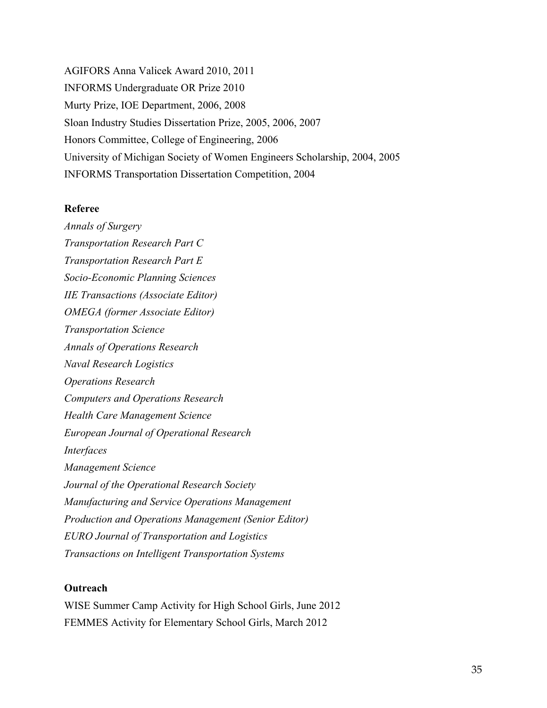AGIFORS Anna Valicek Award 2010, 2011 INFORMS Undergraduate OR Prize 2010 Murty Prize, IOE Department, 2006, 2008 Sloan Industry Studies Dissertation Prize, 2005, 2006, 2007 Honors Committee, College of Engineering, 2006 University of Michigan Society of Women Engineers Scholarship, 2004, 2005 INFORMS Transportation Dissertation Competition, 2004

#### **Referee**

*Annals of Surgery Transportation Research Part C Transportation Research Part E Socio-Economic Planning Sciences IIE Transactions (Associate Editor) OMEGA (former Associate Editor) Transportation Science Annals of Operations Research Naval Research Logistics Operations Research Computers and Operations Research Health Care Management Science European Journal of Operational Research Interfaces Management Science Journal of the Operational Research Society Manufacturing and Service Operations Management Production and Operations Management (Senior Editor) EURO Journal of Transportation and Logistics Transactions on Intelligent Transportation Systems*

### **Outreach**

WISE Summer Camp Activity for High School Girls, June 2012 FEMMES Activity for Elementary School Girls, March 2012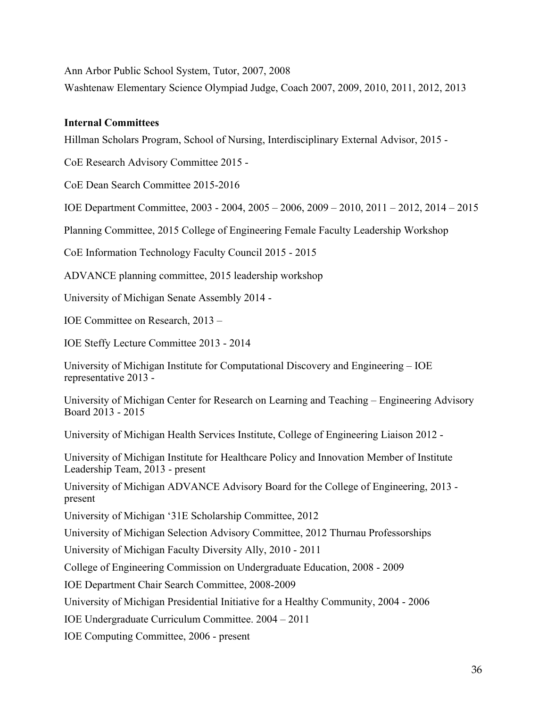Ann Arbor Public School System, Tutor, 2007, 2008

Washtenaw Elementary Science Olympiad Judge, Coach 2007, 2009, 2010, 2011, 2012, 2013

# **Internal Committees**

Hillman Scholars Program, School of Nursing, Interdisciplinary External Advisor, 2015 -

CoE Research Advisory Committee 2015 -

CoE Dean Search Committee 2015-2016

IOE Department Committee, 2003 - 2004, 2005 – 2006, 2009 – 2010, 2011 – 2012, 2014 – 2015

Planning Committee, 2015 College of Engineering Female Faculty Leadership Workshop

CoE Information Technology Faculty Council 2015 - 2015

ADVANCE planning committee, 2015 leadership workshop

University of Michigan Senate Assembly 2014 -

IOE Committee on Research, 2013 –

IOE Steffy Lecture Committee 2013 - 2014

University of Michigan Institute for Computational Discovery and Engineering – IOE representative 2013 -

University of Michigan Center for Research on Learning and Teaching – Engineering Advisory Board 2013 - 2015

University of Michigan Health Services Institute, College of Engineering Liaison 2012 -

University of Michigan Institute for Healthcare Policy and Innovation Member of Institute Leadership Team, 2013 - present

University of Michigan ADVANCE Advisory Board for the College of Engineering, 2013 present

University of Michigan '31E Scholarship Committee, 2012

University of Michigan Selection Advisory Committee, 2012 Thurnau Professorships

University of Michigan Faculty Diversity Ally, 2010 - 2011

College of Engineering Commission on Undergraduate Education, 2008 - 2009

IOE Department Chair Search Committee, 2008-2009

University of Michigan Presidential Initiative for a Healthy Community, 2004 - 2006

IOE Undergraduate Curriculum Committee. 2004 – 2011

IOE Computing Committee, 2006 - present